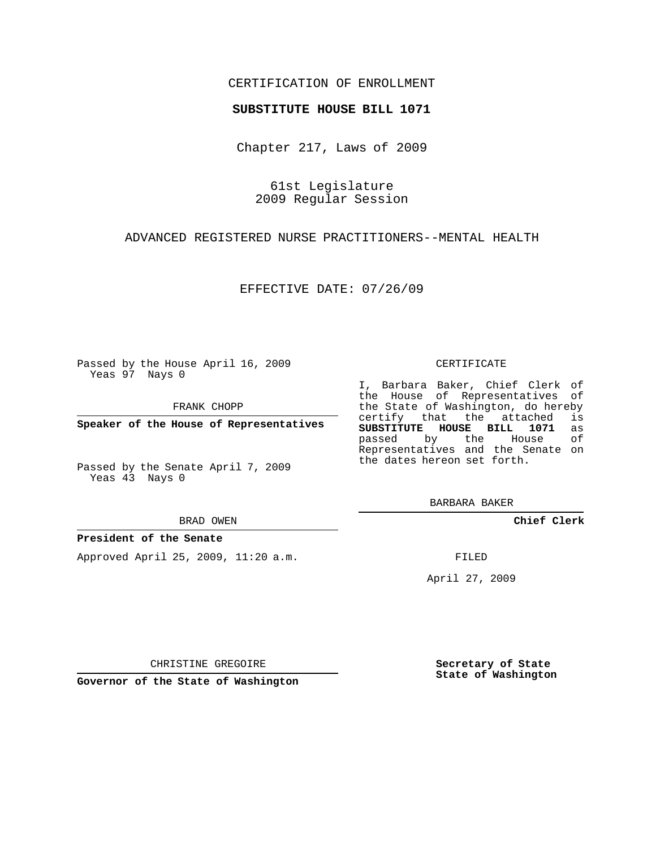### CERTIFICATION OF ENROLLMENT

### **SUBSTITUTE HOUSE BILL 1071**

Chapter 217, Laws of 2009

61st Legislature 2009 Regular Session

ADVANCED REGISTERED NURSE PRACTITIONERS--MENTAL HEALTH

EFFECTIVE DATE: 07/26/09

Passed by the House April 16, 2009 Yeas 97 Nays 0

FRANK CHOPP

**Speaker of the House of Representatives**

Passed by the Senate April 7, 2009 Yeas 43 Nays 0

BRAD OWEN

#### **President of the Senate**

Approved April 25, 2009, 11:20 a.m.

#### CERTIFICATE

I, Barbara Baker, Chief Clerk of the House of Representatives of the State of Washington, do hereby<br>certify that the attached is certify that the attached **SUBSTITUTE HOUSE BILL 1071** as passed by the Representatives and the Senate on the dates hereon set forth.

BARBARA BAKER

**Chief Clerk**

FILED

April 27, 2009

**Secretary of State State of Washington**

CHRISTINE GREGOIRE

**Governor of the State of Washington**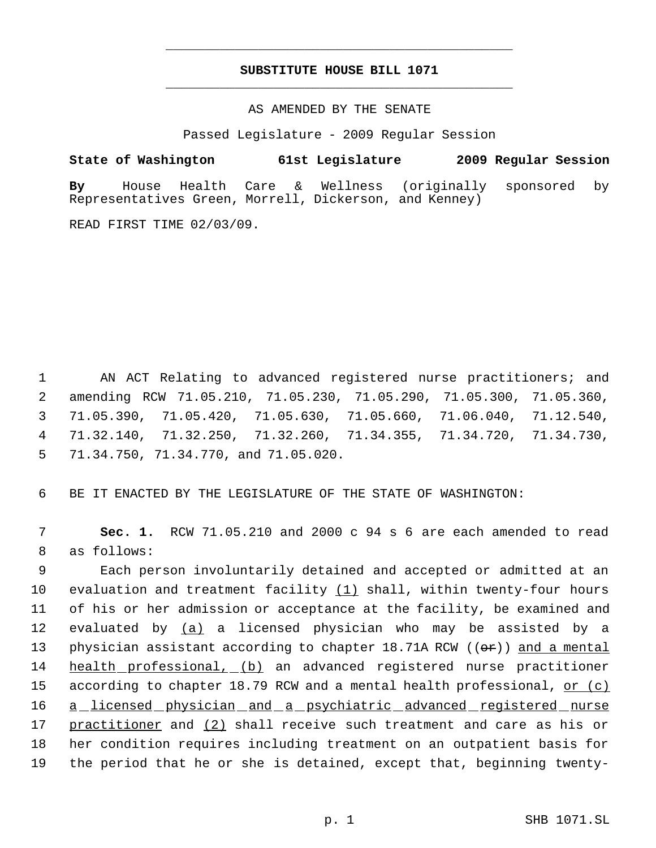## **SUBSTITUTE HOUSE BILL 1071** \_\_\_\_\_\_\_\_\_\_\_\_\_\_\_\_\_\_\_\_\_\_\_\_\_\_\_\_\_\_\_\_\_\_\_\_\_\_\_\_\_\_\_\_\_

\_\_\_\_\_\_\_\_\_\_\_\_\_\_\_\_\_\_\_\_\_\_\_\_\_\_\_\_\_\_\_\_\_\_\_\_\_\_\_\_\_\_\_\_\_

AS AMENDED BY THE SENATE

Passed Legislature - 2009 Regular Session

**State of Washington 61st Legislature 2009 Regular Session By** House Health Care & Wellness (originally sponsored by Representatives Green, Morrell, Dickerson, and Kenney)

READ FIRST TIME 02/03/09.

 AN ACT Relating to advanced registered nurse practitioners; and amending RCW 71.05.210, 71.05.230, 71.05.290, 71.05.300, 71.05.360, 71.05.390, 71.05.420, 71.05.630, 71.05.660, 71.06.040, 71.12.540, 71.32.140, 71.32.250, 71.32.260, 71.34.355, 71.34.720, 71.34.730, 71.34.750, 71.34.770, and 71.05.020.

6 BE IT ENACTED BY THE LEGISLATURE OF THE STATE OF WASHINGTON:

 7 **Sec. 1.** RCW 71.05.210 and 2000 c 94 s 6 are each amended to read 8 as follows:

 9 Each person involuntarily detained and accepted or admitted at an 10 evaluation and treatment facility  $(1)$  shall, within twenty-four hours 11 of his or her admission or acceptance at the facility, be examined and 12 evaluated by (a) a licensed physician who may be assisted by a 13 physician assistant according to chapter 18.71A RCW ( $(\theta \neq r)$ ) and a mental 14 health professional, (b) an advanced registered nurse practitioner 15 according to chapter 18.79 RCW and a mental health professional, <u>or (c)</u> 16 a licensed physician and a psychiatric advanced registered nurse 17 practitioner and (2) shall receive such treatment and care as his or 18 her condition requires including treatment on an outpatient basis for 19 the period that he or she is detained, except that, beginning twenty-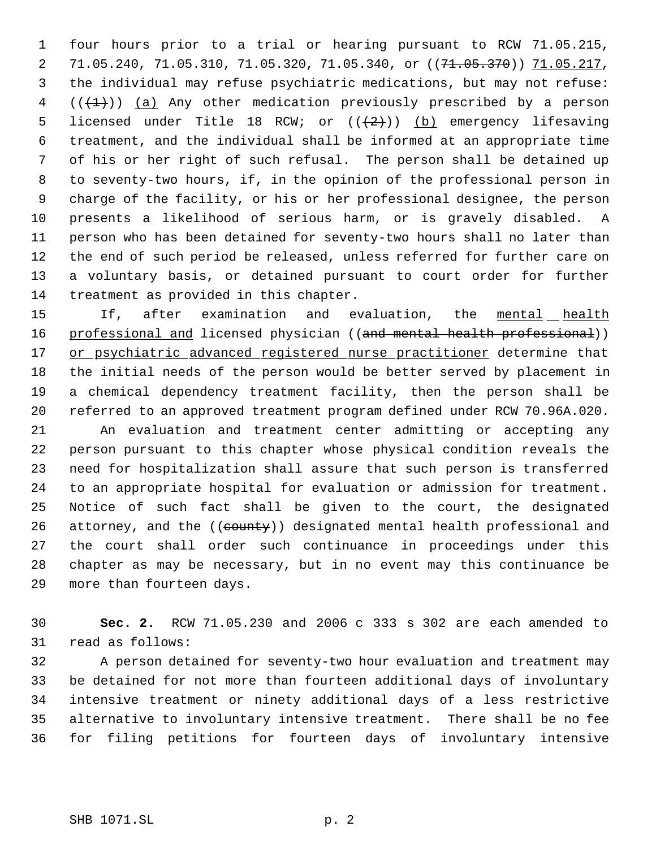four hours prior to a trial or hearing pursuant to RCW 71.05.215, 2 71.05.240, 71.05.310, 71.05.320, 71.05.340, or  $((71.05.370))$  71.05.217, the individual may refuse psychiatric medications, but may not refuse:  $((+1))$   $(a)$  Any other medication previously prescribed by a person 5 licensed under Title 18 RCW; or  $((+2))$  (b) emergency lifesaving treatment, and the individual shall be informed at an appropriate time of his or her right of such refusal. The person shall be detained up to seventy-two hours, if, in the opinion of the professional person in charge of the facility, or his or her professional designee, the person presents a likelihood of serious harm, or is gravely disabled. A person who has been detained for seventy-two hours shall no later than the end of such period be released, unless referred for further care on a voluntary basis, or detained pursuant to court order for further treatment as provided in this chapter.

 If, after examination and evaluation, the mental health 16 professional and licensed physician ((and mental health professional)) 17 or psychiatric advanced registered nurse practitioner determine that the initial needs of the person would be better served by placement in a chemical dependency treatment facility, then the person shall be referred to an approved treatment program defined under RCW 70.96A.020.

 An evaluation and treatment center admitting or accepting any person pursuant to this chapter whose physical condition reveals the need for hospitalization shall assure that such person is transferred to an appropriate hospital for evaluation or admission for treatment. Notice of such fact shall be given to the court, the designated 26 attorney, and the ((county)) designated mental health professional and the court shall order such continuance in proceedings under this chapter as may be necessary, but in no event may this continuance be more than fourteen days.

 **Sec. 2.** RCW 71.05.230 and 2006 c 333 s 302 are each amended to read as follows:

 A person detained for seventy-two hour evaluation and treatment may be detained for not more than fourteen additional days of involuntary intensive treatment or ninety additional days of a less restrictive alternative to involuntary intensive treatment. There shall be no fee for filing petitions for fourteen days of involuntary intensive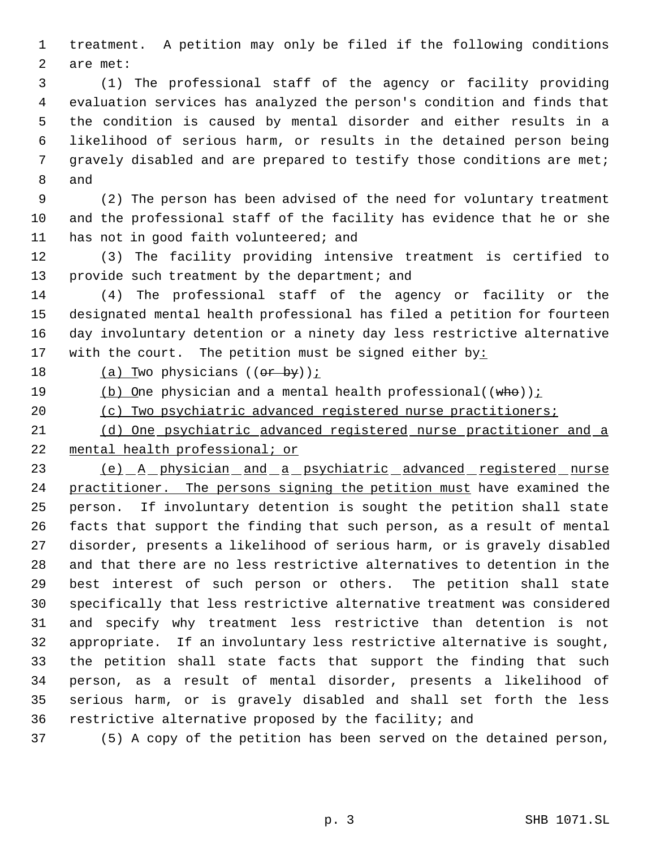treatment. A petition may only be filed if the following conditions are met:

 (1) The professional staff of the agency or facility providing evaluation services has analyzed the person's condition and finds that the condition is caused by mental disorder and either results in a likelihood of serious harm, or results in the detained person being 7 gravely disabled and are prepared to testify those conditions are met; and

 (2) The person has been advised of the need for voluntary treatment and the professional staff of the facility has evidence that he or she 11 has not in good faith volunteered; and

 (3) The facility providing intensive treatment is certified to 13 provide such treatment by the department; and

 (4) The professional staff of the agency or facility or the designated mental health professional has filed a petition for fourteen day involuntary detention or a ninety day less restrictive alternative 17 with the court. The petition must be signed either by:

18  $(a)$  Two physicians  $((or by))$  *i* 

19  $(b)$  One physician and a mental health professional((who)) $\frac{i}{b}$ 

20 (c) Two psychiatric advanced registered nurse practitioners;

 (d) One psychiatric advanced registered nurse practitioner and a mental health professional; or

23 (e) A physician and a psychiatric advanced registered nurse 24 practitioner. The persons signing the petition must have examined the person. If involuntary detention is sought the petition shall state facts that support the finding that such person, as a result of mental disorder, presents a likelihood of serious harm, or is gravely disabled and that there are no less restrictive alternatives to detention in the best interest of such person or others. The petition shall state specifically that less restrictive alternative treatment was considered and specify why treatment less restrictive than detention is not appropriate. If an involuntary less restrictive alternative is sought, the petition shall state facts that support the finding that such person, as a result of mental disorder, presents a likelihood of serious harm, or is gravely disabled and shall set forth the less restrictive alternative proposed by the facility; and

(5) A copy of the petition has been served on the detained person,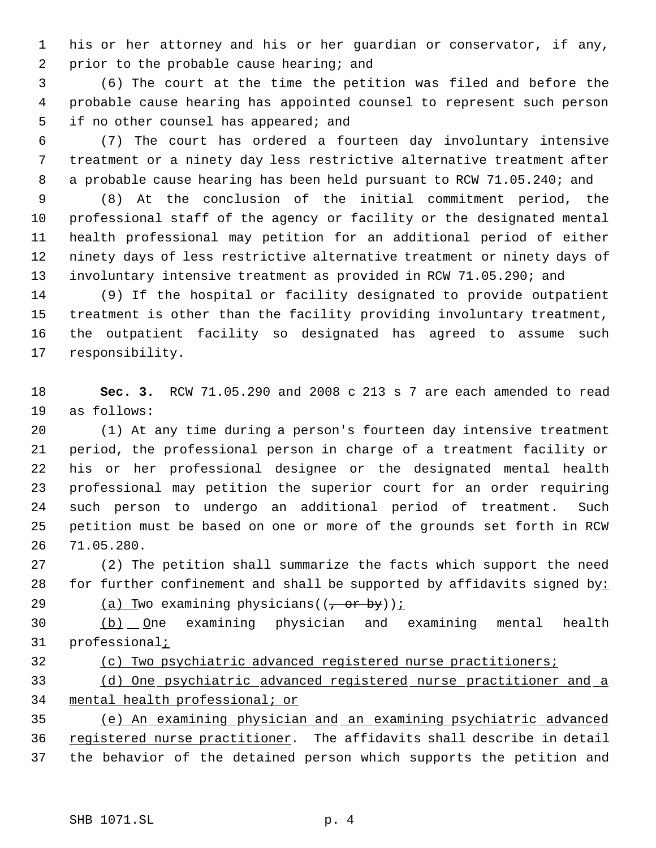his or her attorney and his or her guardian or conservator, if any, prior to the probable cause hearing; and

 (6) The court at the time the petition was filed and before the probable cause hearing has appointed counsel to represent such person 5 if no other counsel has appeared; and

 (7) The court has ordered a fourteen day involuntary intensive treatment or a ninety day less restrictive alternative treatment after a probable cause hearing has been held pursuant to RCW 71.05.240; and

 (8) At the conclusion of the initial commitment period, the professional staff of the agency or facility or the designated mental health professional may petition for an additional period of either ninety days of less restrictive alternative treatment or ninety days of involuntary intensive treatment as provided in RCW 71.05.290; and

 (9) If the hospital or facility designated to provide outpatient treatment is other than the facility providing involuntary treatment, the outpatient facility so designated has agreed to assume such responsibility.

 **Sec. 3.** RCW 71.05.290 and 2008 c 213 s 7 are each amended to read as follows:

 (1) At any time during a person's fourteen day intensive treatment period, the professional person in charge of a treatment facility or his or her professional designee or the designated mental health professional may petition the superior court for an order requiring such person to undergo an additional period of treatment. Such petition must be based on one or more of the grounds set forth in RCW 71.05.280.

 (2) The petition shall summarize the facts which support the need 28 for further confinement and shall be supported by affidavits signed by: 29 (a) Two examining physicians  $((7 \text{ or } by))$  i

 (b) One examining physician and examining mental health professional;

(c) Two psychiatric advanced registered nurse practitioners;

 (d) One psychiatric advanced registered nurse practitioner and a mental health professional; or

 (e) An examining physician and an examining psychiatric advanced 36 registered nurse practitioner. The affidavits shall describe in detail the behavior of the detained person which supports the petition and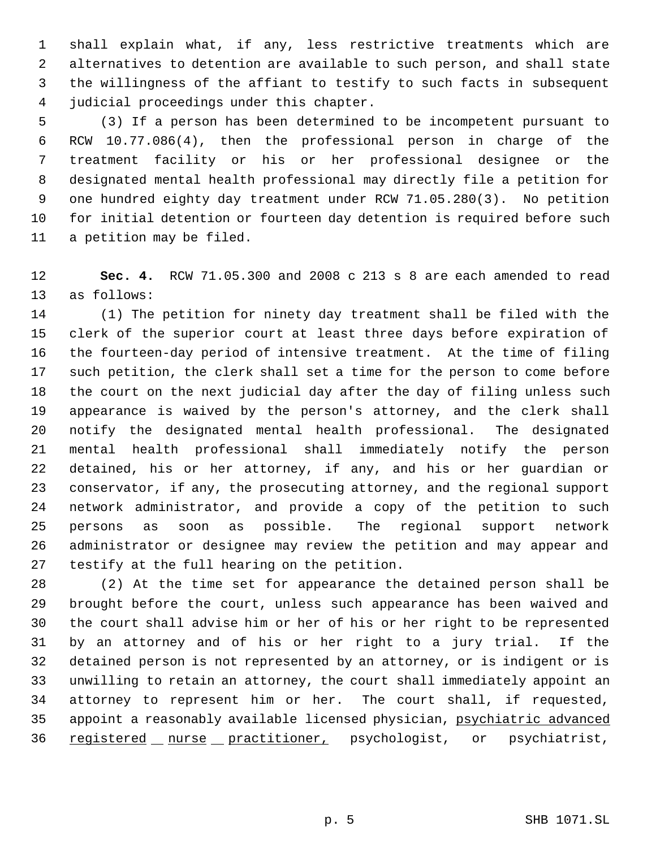shall explain what, if any, less restrictive treatments which are alternatives to detention are available to such person, and shall state the willingness of the affiant to testify to such facts in subsequent judicial proceedings under this chapter.

 (3) If a person has been determined to be incompetent pursuant to RCW 10.77.086(4), then the professional person in charge of the treatment facility or his or her professional designee or the designated mental health professional may directly file a petition for one hundred eighty day treatment under RCW 71.05.280(3). No petition for initial detention or fourteen day detention is required before such a petition may be filed.

 **Sec. 4.** RCW 71.05.300 and 2008 c 213 s 8 are each amended to read as follows:

 (1) The petition for ninety day treatment shall be filed with the clerk of the superior court at least three days before expiration of the fourteen-day period of intensive treatment. At the time of filing such petition, the clerk shall set a time for the person to come before the court on the next judicial day after the day of filing unless such appearance is waived by the person's attorney, and the clerk shall notify the designated mental health professional. The designated mental health professional shall immediately notify the person detained, his or her attorney, if any, and his or her guardian or conservator, if any, the prosecuting attorney, and the regional support network administrator, and provide a copy of the petition to such persons as soon as possible. The regional support network administrator or designee may review the petition and may appear and testify at the full hearing on the petition.

 (2) At the time set for appearance the detained person shall be brought before the court, unless such appearance has been waived and the court shall advise him or her of his or her right to be represented by an attorney and of his or her right to a jury trial. If the detained person is not represented by an attorney, or is indigent or is unwilling to retain an attorney, the court shall immediately appoint an attorney to represent him or her. The court shall, if requested, appoint a reasonably available licensed physician, psychiatric advanced 36 registered nurse practitioner, psychologist, or psychiatrist,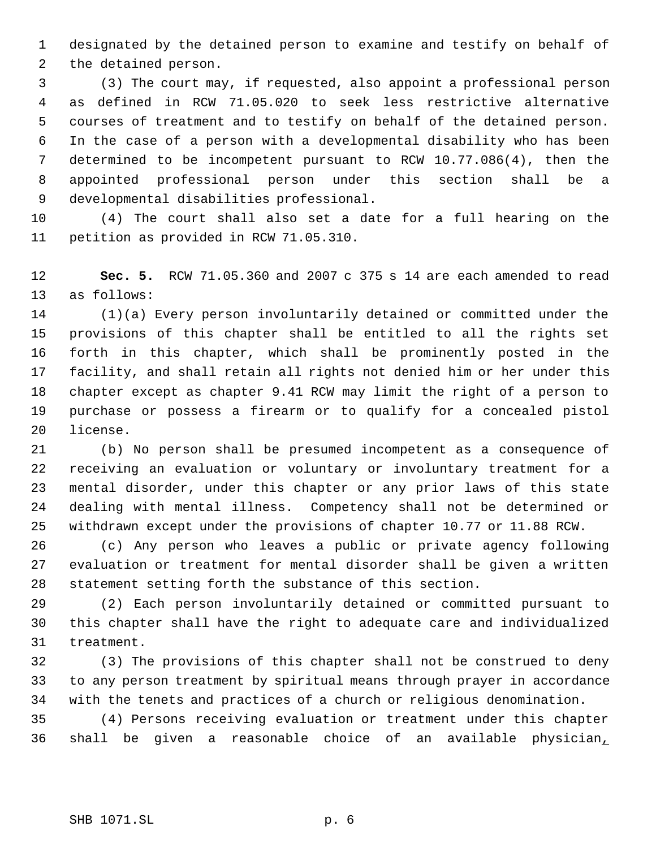designated by the detained person to examine and testify on behalf of the detained person.

 (3) The court may, if requested, also appoint a professional person as defined in RCW 71.05.020 to seek less restrictive alternative courses of treatment and to testify on behalf of the detained person. In the case of a person with a developmental disability who has been determined to be incompetent pursuant to RCW 10.77.086(4), then the appointed professional person under this section shall be a developmental disabilities professional.

 (4) The court shall also set a date for a full hearing on the petition as provided in RCW 71.05.310.

 **Sec. 5.** RCW 71.05.360 and 2007 c 375 s 14 are each amended to read as follows:

 (1)(a) Every person involuntarily detained or committed under the provisions of this chapter shall be entitled to all the rights set forth in this chapter, which shall be prominently posted in the facility, and shall retain all rights not denied him or her under this chapter except as chapter 9.41 RCW may limit the right of a person to purchase or possess a firearm or to qualify for a concealed pistol license.

 (b) No person shall be presumed incompetent as a consequence of receiving an evaluation or voluntary or involuntary treatment for a mental disorder, under this chapter or any prior laws of this state dealing with mental illness. Competency shall not be determined or withdrawn except under the provisions of chapter 10.77 or 11.88 RCW.

 (c) Any person who leaves a public or private agency following evaluation or treatment for mental disorder shall be given a written statement setting forth the substance of this section.

 (2) Each person involuntarily detained or committed pursuant to this chapter shall have the right to adequate care and individualized treatment.

 (3) The provisions of this chapter shall not be construed to deny to any person treatment by spiritual means through prayer in accordance with the tenets and practices of a church or religious denomination.

 (4) Persons receiving evaluation or treatment under this chapter shall be given a reasonable choice of an available physician,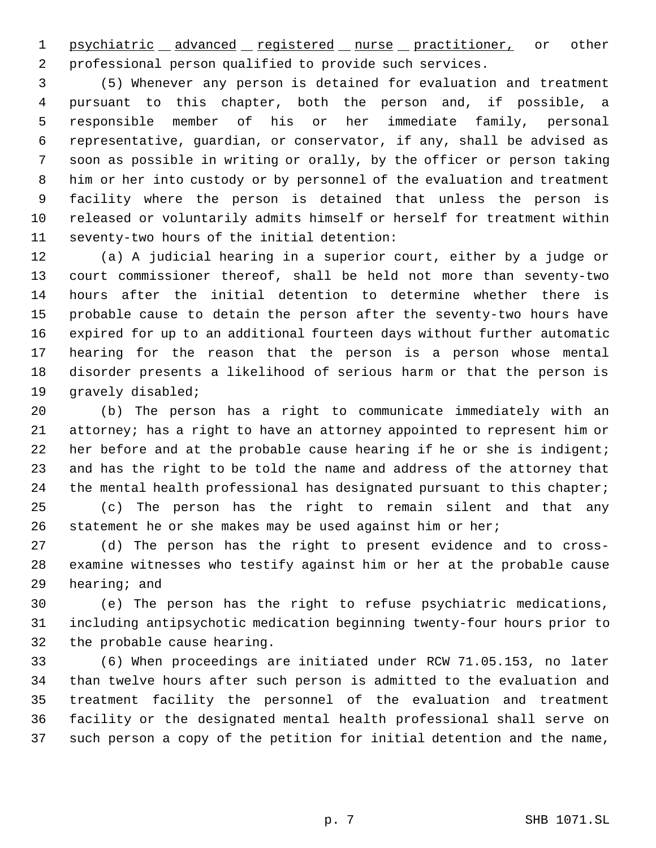1 psychiatric advanced registered nurse practitioner, or other professional person qualified to provide such services.

 (5) Whenever any person is detained for evaluation and treatment pursuant to this chapter, both the person and, if possible, a responsible member of his or her immediate family, personal representative, guardian, or conservator, if any, shall be advised as soon as possible in writing or orally, by the officer or person taking him or her into custody or by personnel of the evaluation and treatment facility where the person is detained that unless the person is released or voluntarily admits himself or herself for treatment within seventy-two hours of the initial detention:

 (a) A judicial hearing in a superior court, either by a judge or court commissioner thereof, shall be held not more than seventy-two hours after the initial detention to determine whether there is probable cause to detain the person after the seventy-two hours have expired for up to an additional fourteen days without further automatic hearing for the reason that the person is a person whose mental disorder presents a likelihood of serious harm or that the person is gravely disabled;

 (b) The person has a right to communicate immediately with an attorney; has a right to have an attorney appointed to represent him or 22 her before and at the probable cause hearing if he or she is indigent; and has the right to be told the name and address of the attorney that 24 the mental health professional has designated pursuant to this chapter;

 (c) The person has the right to remain silent and that any statement he or she makes may be used against him or her;

 (d) The person has the right to present evidence and to cross- examine witnesses who testify against him or her at the probable cause hearing; and

 (e) The person has the right to refuse psychiatric medications, including antipsychotic medication beginning twenty-four hours prior to the probable cause hearing.

 (6) When proceedings are initiated under RCW 71.05.153, no later than twelve hours after such person is admitted to the evaluation and treatment facility the personnel of the evaluation and treatment facility or the designated mental health professional shall serve on such person a copy of the petition for initial detention and the name,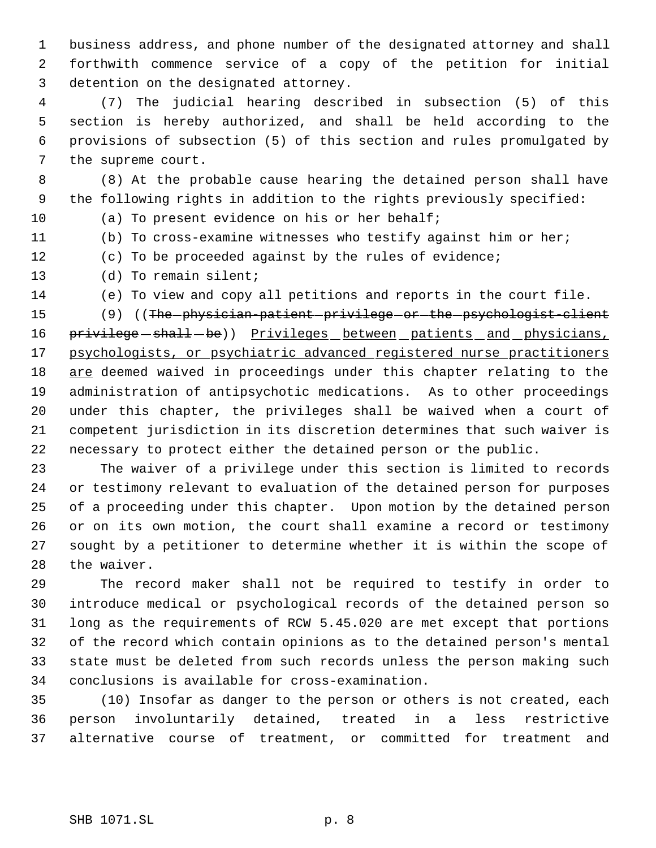business address, and phone number of the designated attorney and shall forthwith commence service of a copy of the petition for initial detention on the designated attorney.

 (7) The judicial hearing described in subsection (5) of this section is hereby authorized, and shall be held according to the provisions of subsection (5) of this section and rules promulgated by the supreme court.

 (8) At the probable cause hearing the detained person shall have the following rights in addition to the rights previously specified:

(a) To present evidence on his or her behalf;

(b) To cross-examine witnesses who testify against him or her;

(c) To be proceeded against by the rules of evidence;

(d) To remain silent;

(e) To view and copy all petitions and reports in the court file.

15 (9) ((The physician-patient privilege or the psychologist-client 16 privilege - shall - be)) Privileges between patients and physicians, 17 psychologists, or psychiatric advanced registered nurse practitioners 18 are deemed waived in proceedings under this chapter relating to the administration of antipsychotic medications. As to other proceedings under this chapter, the privileges shall be waived when a court of competent jurisdiction in its discretion determines that such waiver is necessary to protect either the detained person or the public.

 The waiver of a privilege under this section is limited to records or testimony relevant to evaluation of the detained person for purposes of a proceeding under this chapter. Upon motion by the detained person or on its own motion, the court shall examine a record or testimony sought by a petitioner to determine whether it is within the scope of the waiver.

 The record maker shall not be required to testify in order to introduce medical or psychological records of the detained person so long as the requirements of RCW 5.45.020 are met except that portions of the record which contain opinions as to the detained person's mental state must be deleted from such records unless the person making such conclusions is available for cross-examination.

 (10) Insofar as danger to the person or others is not created, each person involuntarily detained, treated in a less restrictive alternative course of treatment, or committed for treatment and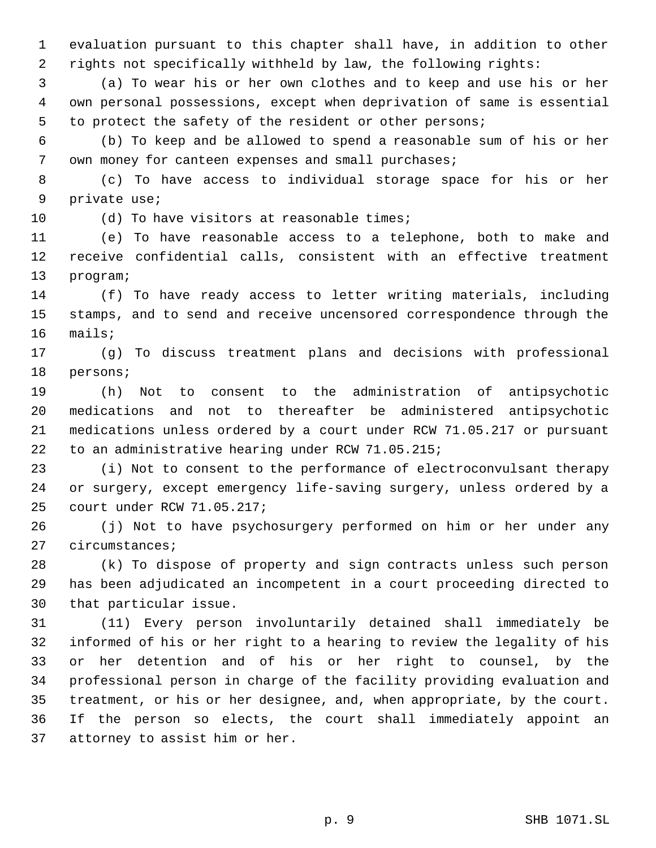evaluation pursuant to this chapter shall have, in addition to other rights not specifically withheld by law, the following rights:

 (a) To wear his or her own clothes and to keep and use his or her own personal possessions, except when deprivation of same is essential to protect the safety of the resident or other persons;

 (b) To keep and be allowed to spend a reasonable sum of his or her own money for canteen expenses and small purchases;

 (c) To have access to individual storage space for his or her private use;

10 (d) To have visitors at reasonable times;

 (e) To have reasonable access to a telephone, both to make and receive confidential calls, consistent with an effective treatment program;

 (f) To have ready access to letter writing materials, including stamps, and to send and receive uncensored correspondence through the mails;

 (g) To discuss treatment plans and decisions with professional persons;

 (h) Not to consent to the administration of antipsychotic medications and not to thereafter be administered antipsychotic medications unless ordered by a court under RCW 71.05.217 or pursuant to an administrative hearing under RCW 71.05.215;

 (i) Not to consent to the performance of electroconvulsant therapy or surgery, except emergency life-saving surgery, unless ordered by a court under RCW 71.05.217;

 (j) Not to have psychosurgery performed on him or her under any circumstances;

 (k) To dispose of property and sign contracts unless such person has been adjudicated an incompetent in a court proceeding directed to that particular issue.

 (11) Every person involuntarily detained shall immediately be informed of his or her right to a hearing to review the legality of his or her detention and of his or her right to counsel, by the professional person in charge of the facility providing evaluation and treatment, or his or her designee, and, when appropriate, by the court. If the person so elects, the court shall immediately appoint an attorney to assist him or her.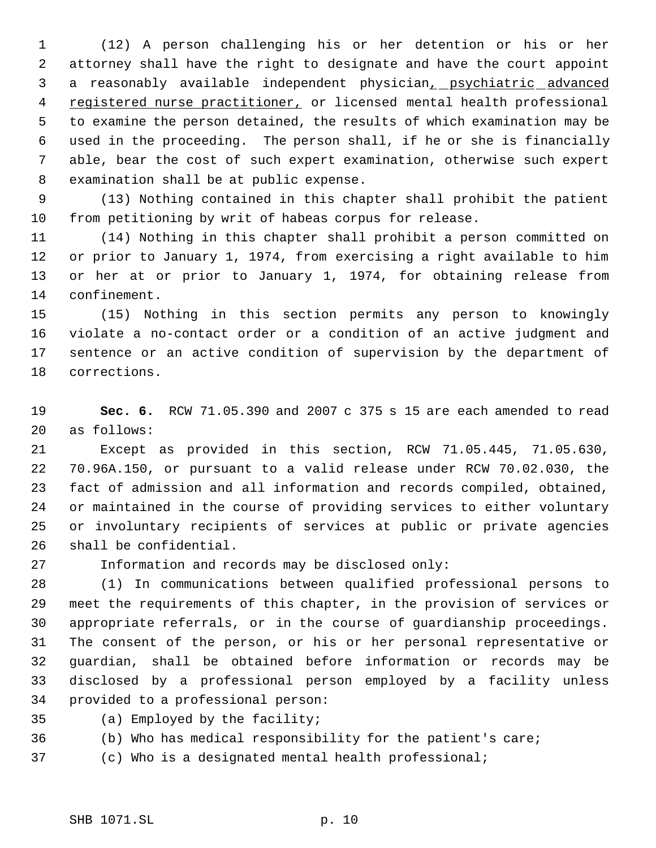(12) A person challenging his or her detention or his or her attorney shall have the right to designate and have the court appoint 3 a reasonably available independent physician<sub>1</sub> psychiatric advanced 4 registered nurse practitioner, or licensed mental health professional to examine the person detained, the results of which examination may be used in the proceeding. The person shall, if he or she is financially able, bear the cost of such expert examination, otherwise such expert examination shall be at public expense.

 (13) Nothing contained in this chapter shall prohibit the patient from petitioning by writ of habeas corpus for release.

 (14) Nothing in this chapter shall prohibit a person committed on or prior to January 1, 1974, from exercising a right available to him or her at or prior to January 1, 1974, for obtaining release from confinement.

 (15) Nothing in this section permits any person to knowingly violate a no-contact order or a condition of an active judgment and sentence or an active condition of supervision by the department of corrections.

 **Sec. 6.** RCW 71.05.390 and 2007 c 375 s 15 are each amended to read as follows:

 Except as provided in this section, RCW 71.05.445, 71.05.630, 70.96A.150, or pursuant to a valid release under RCW 70.02.030, the fact of admission and all information and records compiled, obtained, or maintained in the course of providing services to either voluntary or involuntary recipients of services at public or private agencies shall be confidential.

Information and records may be disclosed only:

 (1) In communications between qualified professional persons to meet the requirements of this chapter, in the provision of services or appropriate referrals, or in the course of guardianship proceedings. The consent of the person, or his or her personal representative or guardian, shall be obtained before information or records may be disclosed by a professional person employed by a facility unless provided to a professional person:

(a) Employed by the facility;

(b) Who has medical responsibility for the patient's care;

(c) Who is a designated mental health professional;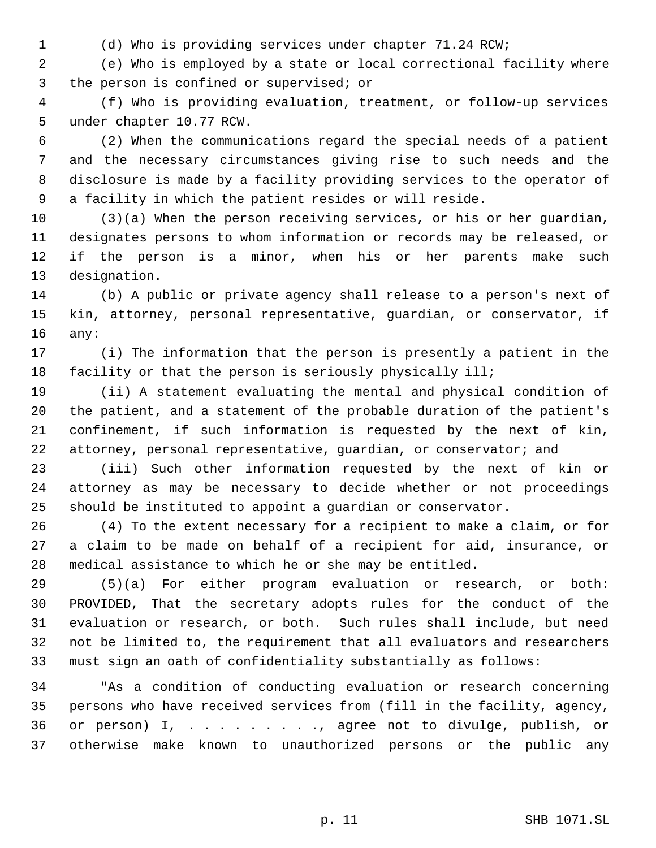(d) Who is providing services under chapter 71.24 RCW;

 (e) Who is employed by a state or local correctional facility where the person is confined or supervised; or

 (f) Who is providing evaluation, treatment, or follow-up services under chapter 10.77 RCW.

 (2) When the communications regard the special needs of a patient and the necessary circumstances giving rise to such needs and the disclosure is made by a facility providing services to the operator of a facility in which the patient resides or will reside.

 (3)(a) When the person receiving services, or his or her guardian, designates persons to whom information or records may be released, or if the person is a minor, when his or her parents make such designation.

 (b) A public or private agency shall release to a person's next of kin, attorney, personal representative, guardian, or conservator, if any:

 (i) The information that the person is presently a patient in the facility or that the person is seriously physically ill;

 (ii) A statement evaluating the mental and physical condition of the patient, and a statement of the probable duration of the patient's confinement, if such information is requested by the next of kin, 22 attorney, personal representative, guardian, or conservator; and

 (iii) Such other information requested by the next of kin or attorney as may be necessary to decide whether or not proceedings should be instituted to appoint a guardian or conservator.

 (4) To the extent necessary for a recipient to make a claim, or for a claim to be made on behalf of a recipient for aid, insurance, or medical assistance to which he or she may be entitled.

 (5)(a) For either program evaluation or research, or both: PROVIDED, That the secretary adopts rules for the conduct of the evaluation or research, or both. Such rules shall include, but need not be limited to, the requirement that all evaluators and researchers must sign an oath of confidentiality substantially as follows:

 "As a condition of conducting evaluation or research concerning persons who have received services from (fill in the facility, agency, or person) I, . . . . . . . . ., agree not to divulge, publish, or otherwise make known to unauthorized persons or the public any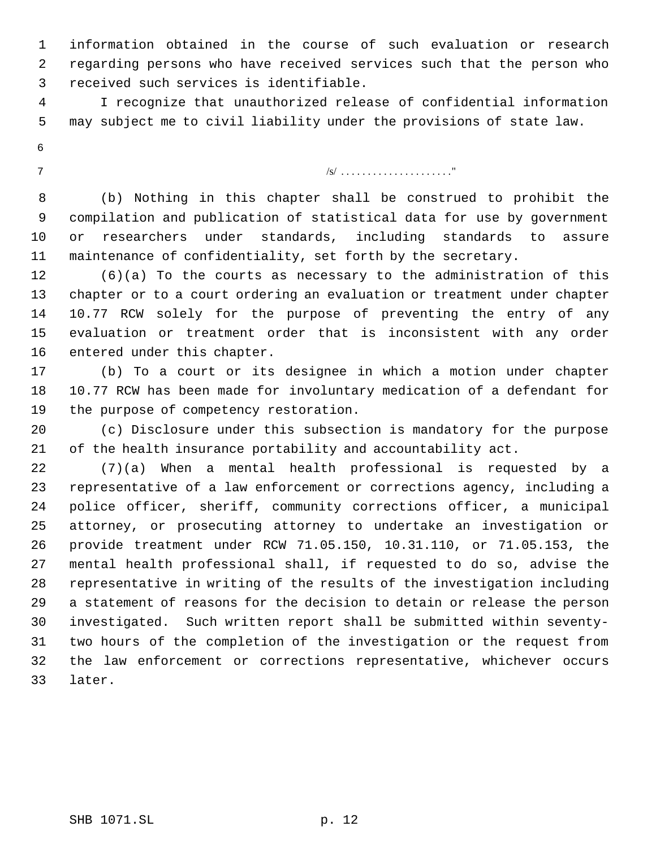information obtained in the course of such evaluation or research regarding persons who have received services such that the person who received such services is identifiable.

 I recognize that unauthorized release of confidential information may subject me to civil liability under the provisions of state law.

/s/ . . . . . . . . . . . . . . . . . . . . ."

 (b) Nothing in this chapter shall be construed to prohibit the compilation and publication of statistical data for use by government or researchers under standards, including standards to assure maintenance of confidentiality, set forth by the secretary.

 (6)(a) To the courts as necessary to the administration of this chapter or to a court ordering an evaluation or treatment under chapter 10.77 RCW solely for the purpose of preventing the entry of any evaluation or treatment order that is inconsistent with any order entered under this chapter.

 (b) To a court or its designee in which a motion under chapter 10.77 RCW has been made for involuntary medication of a defendant for the purpose of competency restoration.

 (c) Disclosure under this subsection is mandatory for the purpose of the health insurance portability and accountability act.

 (7)(a) When a mental health professional is requested by a representative of a law enforcement or corrections agency, including a police officer, sheriff, community corrections officer, a municipal attorney, or prosecuting attorney to undertake an investigation or provide treatment under RCW 71.05.150, 10.31.110, or 71.05.153, the mental health professional shall, if requested to do so, advise the representative in writing of the results of the investigation including a statement of reasons for the decision to detain or release the person investigated. Such written report shall be submitted within seventy- two hours of the completion of the investigation or the request from the law enforcement or corrections representative, whichever occurs later.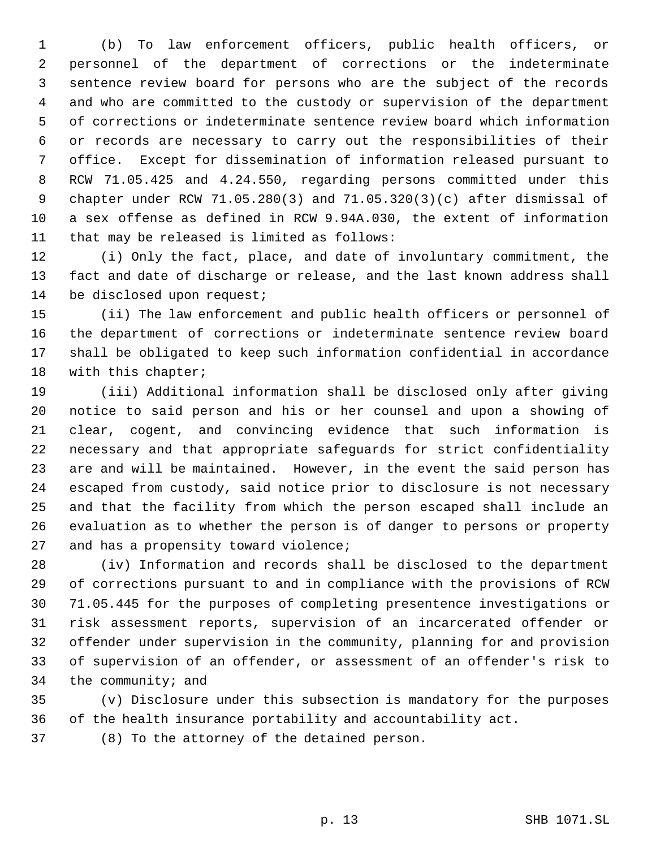(b) To law enforcement officers, public health officers, or personnel of the department of corrections or the indeterminate sentence review board for persons who are the subject of the records and who are committed to the custody or supervision of the department of corrections or indeterminate sentence review board which information or records are necessary to carry out the responsibilities of their office. Except for dissemination of information released pursuant to RCW 71.05.425 and 4.24.550, regarding persons committed under this chapter under RCW 71.05.280(3) and 71.05.320(3)(c) after dismissal of a sex offense as defined in RCW 9.94A.030, the extent of information that may be released is limited as follows:

 (i) Only the fact, place, and date of involuntary commitment, the fact and date of discharge or release, and the last known address shall 14 be disclosed upon request;

 (ii) The law enforcement and public health officers or personnel of the department of corrections or indeterminate sentence review board shall be obligated to keep such information confidential in accordance with this chapter;

 (iii) Additional information shall be disclosed only after giving notice to said person and his or her counsel and upon a showing of clear, cogent, and convincing evidence that such information is necessary and that appropriate safeguards for strict confidentiality are and will be maintained. However, in the event the said person has escaped from custody, said notice prior to disclosure is not necessary and that the facility from which the person escaped shall include an evaluation as to whether the person is of danger to persons or property and has a propensity toward violence;

 (iv) Information and records shall be disclosed to the department of corrections pursuant to and in compliance with the provisions of RCW 71.05.445 for the purposes of completing presentence investigations or risk assessment reports, supervision of an incarcerated offender or offender under supervision in the community, planning for and provision of supervision of an offender, or assessment of an offender's risk to the community; and

 (v) Disclosure under this subsection is mandatory for the purposes of the health insurance portability and accountability act.

(8) To the attorney of the detained person.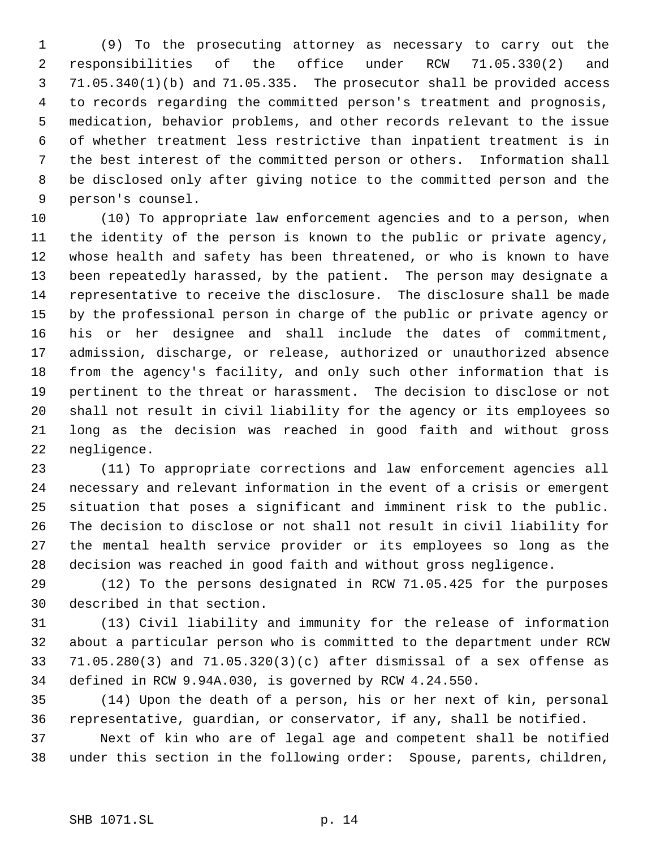(9) To the prosecuting attorney as necessary to carry out the responsibilities of the office under RCW 71.05.330(2) and 71.05.340(1)(b) and 71.05.335. The prosecutor shall be provided access to records regarding the committed person's treatment and prognosis, medication, behavior problems, and other records relevant to the issue of whether treatment less restrictive than inpatient treatment is in the best interest of the committed person or others. Information shall be disclosed only after giving notice to the committed person and the person's counsel.

 (10) To appropriate law enforcement agencies and to a person, when the identity of the person is known to the public or private agency, whose health and safety has been threatened, or who is known to have been repeatedly harassed, by the patient. The person may designate a representative to receive the disclosure. The disclosure shall be made by the professional person in charge of the public or private agency or his or her designee and shall include the dates of commitment, admission, discharge, or release, authorized or unauthorized absence from the agency's facility, and only such other information that is pertinent to the threat or harassment. The decision to disclose or not shall not result in civil liability for the agency or its employees so long as the decision was reached in good faith and without gross negligence.

 (11) To appropriate corrections and law enforcement agencies all necessary and relevant information in the event of a crisis or emergent situation that poses a significant and imminent risk to the public. The decision to disclose or not shall not result in civil liability for the mental health service provider or its employees so long as the decision was reached in good faith and without gross negligence.

 (12) To the persons designated in RCW 71.05.425 for the purposes described in that section.

 (13) Civil liability and immunity for the release of information about a particular person who is committed to the department under RCW 71.05.280(3) and 71.05.320(3)(c) after dismissal of a sex offense as defined in RCW 9.94A.030, is governed by RCW 4.24.550.

 (14) Upon the death of a person, his or her next of kin, personal representative, guardian, or conservator, if any, shall be notified.

 Next of kin who are of legal age and competent shall be notified under this section in the following order: Spouse, parents, children,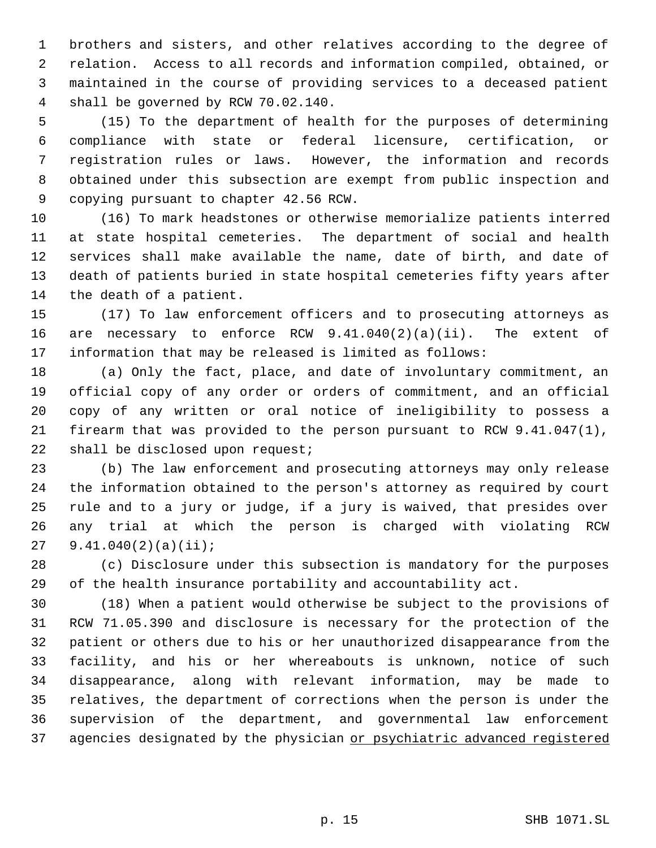brothers and sisters, and other relatives according to the degree of relation. Access to all records and information compiled, obtained, or maintained in the course of providing services to a deceased patient shall be governed by RCW 70.02.140.

 (15) To the department of health for the purposes of determining compliance with state or federal licensure, certification, or registration rules or laws. However, the information and records obtained under this subsection are exempt from public inspection and copying pursuant to chapter 42.56 RCW.

 (16) To mark headstones or otherwise memorialize patients interred at state hospital cemeteries. The department of social and health services shall make available the name, date of birth, and date of death of patients buried in state hospital cemeteries fifty years after the death of a patient.

 (17) To law enforcement officers and to prosecuting attorneys as are necessary to enforce RCW 9.41.040(2)(a)(ii). The extent of information that may be released is limited as follows:

 (a) Only the fact, place, and date of involuntary commitment, an official copy of any order or orders of commitment, and an official copy of any written or oral notice of ineligibility to possess a firearm that was provided to the person pursuant to RCW 9.41.047(1), 22 shall be disclosed upon request;

 (b) The law enforcement and prosecuting attorneys may only release the information obtained to the person's attorney as required by court rule and to a jury or judge, if a jury is waived, that presides over any trial at which the person is charged with violating RCW 9.41.040(2)(a)(ii);

 (c) Disclosure under this subsection is mandatory for the purposes of the health insurance portability and accountability act.

 (18) When a patient would otherwise be subject to the provisions of RCW 71.05.390 and disclosure is necessary for the protection of the patient or others due to his or her unauthorized disappearance from the facility, and his or her whereabouts is unknown, notice of such disappearance, along with relevant information, may be made to relatives, the department of corrections when the person is under the supervision of the department, and governmental law enforcement agencies designated by the physician or psychiatric advanced registered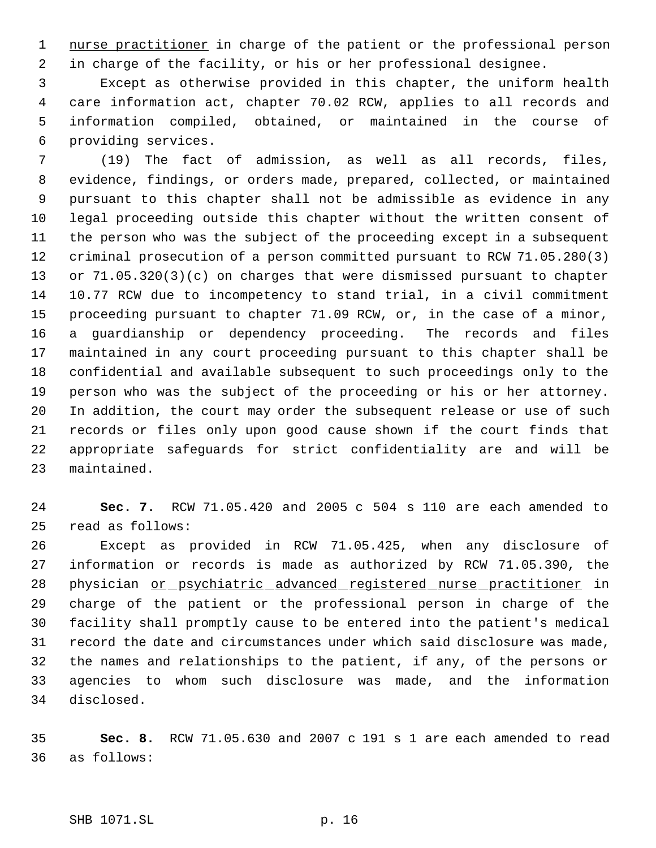1 nurse practitioner in charge of the patient or the professional person in charge of the facility, or his or her professional designee.

 Except as otherwise provided in this chapter, the uniform health care information act, chapter 70.02 RCW, applies to all records and information compiled, obtained, or maintained in the course of providing services.

 (19) The fact of admission, as well as all records, files, evidence, findings, or orders made, prepared, collected, or maintained pursuant to this chapter shall not be admissible as evidence in any legal proceeding outside this chapter without the written consent of the person who was the subject of the proceeding except in a subsequent criminal prosecution of a person committed pursuant to RCW 71.05.280(3) or 71.05.320(3)(c) on charges that were dismissed pursuant to chapter 10.77 RCW due to incompetency to stand trial, in a civil commitment proceeding pursuant to chapter 71.09 RCW, or, in the case of a minor, a guardianship or dependency proceeding. The records and files maintained in any court proceeding pursuant to this chapter shall be confidential and available subsequent to such proceedings only to the person who was the subject of the proceeding or his or her attorney. In addition, the court may order the subsequent release or use of such records or files only upon good cause shown if the court finds that appropriate safeguards for strict confidentiality are and will be maintained.

 **Sec. 7.** RCW 71.05.420 and 2005 c 504 s 110 are each amended to read as follows:

 Except as provided in RCW 71.05.425, when any disclosure of information or records is made as authorized by RCW 71.05.390, the 28 physician or psychiatric advanced registered nurse practitioner in charge of the patient or the professional person in charge of the facility shall promptly cause to be entered into the patient's medical record the date and circumstances under which said disclosure was made, the names and relationships to the patient, if any, of the persons or agencies to whom such disclosure was made, and the information disclosed.

 **Sec. 8.** RCW 71.05.630 and 2007 c 191 s 1 are each amended to read as follows: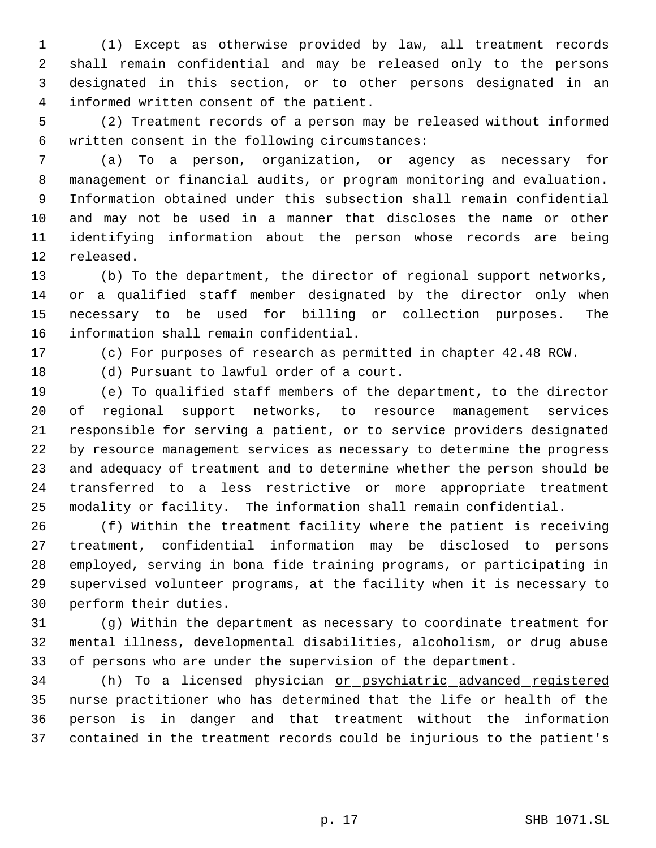(1) Except as otherwise provided by law, all treatment records shall remain confidential and may be released only to the persons designated in this section, or to other persons designated in an informed written consent of the patient.

 (2) Treatment records of a person may be released without informed written consent in the following circumstances:

 (a) To a person, organization, or agency as necessary for management or financial audits, or program monitoring and evaluation. Information obtained under this subsection shall remain confidential and may not be used in a manner that discloses the name or other identifying information about the person whose records are being released.

 (b) To the department, the director of regional support networks, or a qualified staff member designated by the director only when necessary to be used for billing or collection purposes. The information shall remain confidential.

(c) For purposes of research as permitted in chapter 42.48 RCW.

(d) Pursuant to lawful order of a court.

 (e) To qualified staff members of the department, to the director of regional support networks, to resource management services responsible for serving a patient, or to service providers designated by resource management services as necessary to determine the progress and adequacy of treatment and to determine whether the person should be transferred to a less restrictive or more appropriate treatment modality or facility. The information shall remain confidential.

 (f) Within the treatment facility where the patient is receiving treatment, confidential information may be disclosed to persons employed, serving in bona fide training programs, or participating in supervised volunteer programs, at the facility when it is necessary to perform their duties.

 (g) Within the department as necessary to coordinate treatment for mental illness, developmental disabilities, alcoholism, or drug abuse of persons who are under the supervision of the department.

34 (h) To a licensed physician <u>or psychiatric advanced registered</u> nurse practitioner who has determined that the life or health of the person is in danger and that treatment without the information contained in the treatment records could be injurious to the patient's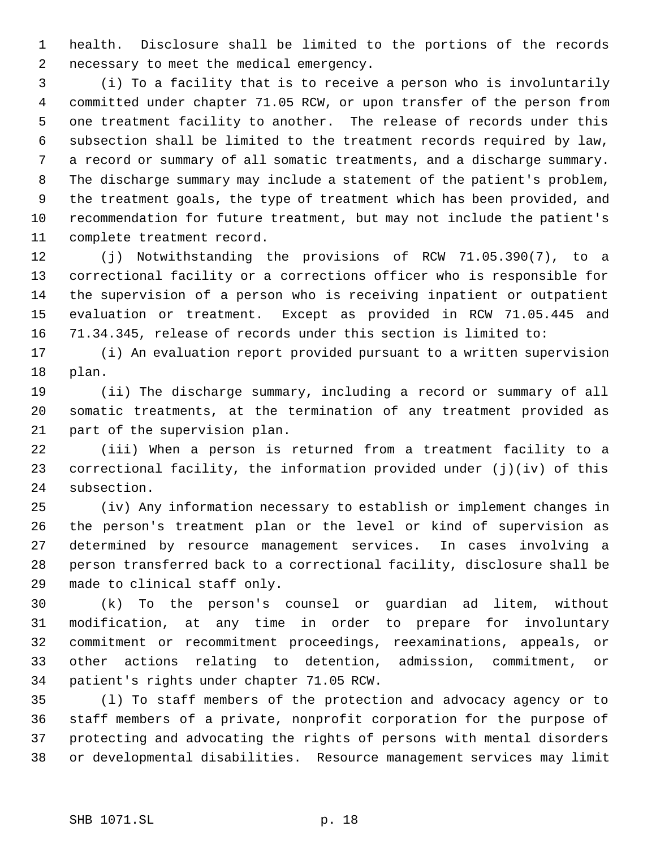health. Disclosure shall be limited to the portions of the records necessary to meet the medical emergency.

 (i) To a facility that is to receive a person who is involuntarily committed under chapter 71.05 RCW, or upon transfer of the person from one treatment facility to another. The release of records under this subsection shall be limited to the treatment records required by law, a record or summary of all somatic treatments, and a discharge summary. The discharge summary may include a statement of the patient's problem, the treatment goals, the type of treatment which has been provided, and recommendation for future treatment, but may not include the patient's complete treatment record.

 (j) Notwithstanding the provisions of RCW 71.05.390(7), to a correctional facility or a corrections officer who is responsible for the supervision of a person who is receiving inpatient or outpatient evaluation or treatment. Except as provided in RCW 71.05.445 and 71.34.345, release of records under this section is limited to:

 (i) An evaluation report provided pursuant to a written supervision plan.

 (ii) The discharge summary, including a record or summary of all somatic treatments, at the termination of any treatment provided as part of the supervision plan.

 (iii) When a person is returned from a treatment facility to a correctional facility, the information provided under (j)(iv) of this subsection.

 (iv) Any information necessary to establish or implement changes in the person's treatment plan or the level or kind of supervision as determined by resource management services. In cases involving a person transferred back to a correctional facility, disclosure shall be made to clinical staff only.

 (k) To the person's counsel or guardian ad litem, without modification, at any time in order to prepare for involuntary commitment or recommitment proceedings, reexaminations, appeals, or other actions relating to detention, admission, commitment, or patient's rights under chapter 71.05 RCW.

 (l) To staff members of the protection and advocacy agency or to staff members of a private, nonprofit corporation for the purpose of protecting and advocating the rights of persons with mental disorders or developmental disabilities. Resource management services may limit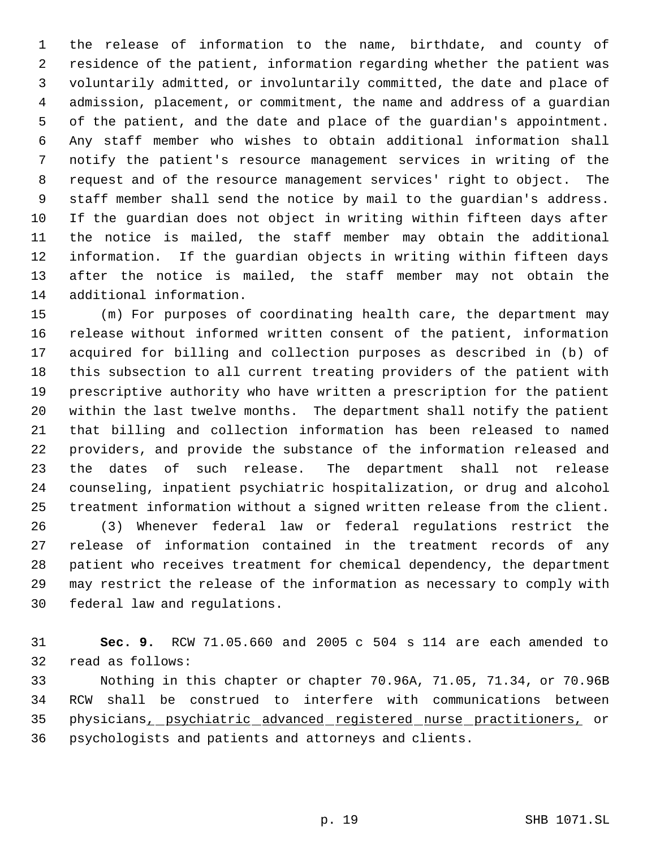the release of information to the name, birthdate, and county of residence of the patient, information regarding whether the patient was voluntarily admitted, or involuntarily committed, the date and place of admission, placement, or commitment, the name and address of a guardian of the patient, and the date and place of the guardian's appointment. Any staff member who wishes to obtain additional information shall notify the patient's resource management services in writing of the request and of the resource management services' right to object. The staff member shall send the notice by mail to the guardian's address. If the guardian does not object in writing within fifteen days after the notice is mailed, the staff member may obtain the additional information. If the guardian objects in writing within fifteen days after the notice is mailed, the staff member may not obtain the additional information.

 (m) For purposes of coordinating health care, the department may release without informed written consent of the patient, information acquired for billing and collection purposes as described in (b) of this subsection to all current treating providers of the patient with prescriptive authority who have written a prescription for the patient within the last twelve months. The department shall notify the patient that billing and collection information has been released to named providers, and provide the substance of the information released and the dates of such release. The department shall not release counseling, inpatient psychiatric hospitalization, or drug and alcohol treatment information without a signed written release from the client.

 (3) Whenever federal law or federal regulations restrict the release of information contained in the treatment records of any patient who receives treatment for chemical dependency, the department may restrict the release of the information as necessary to comply with federal law and regulations.

 **Sec. 9.** RCW 71.05.660 and 2005 c 504 s 114 are each amended to read as follows:

 Nothing in this chapter or chapter 70.96A, 71.05, 71.34, or 70.96B RCW shall be construed to interfere with communications between physicians, psychiatric advanced registered nurse practitioners, or psychologists and patients and attorneys and clients.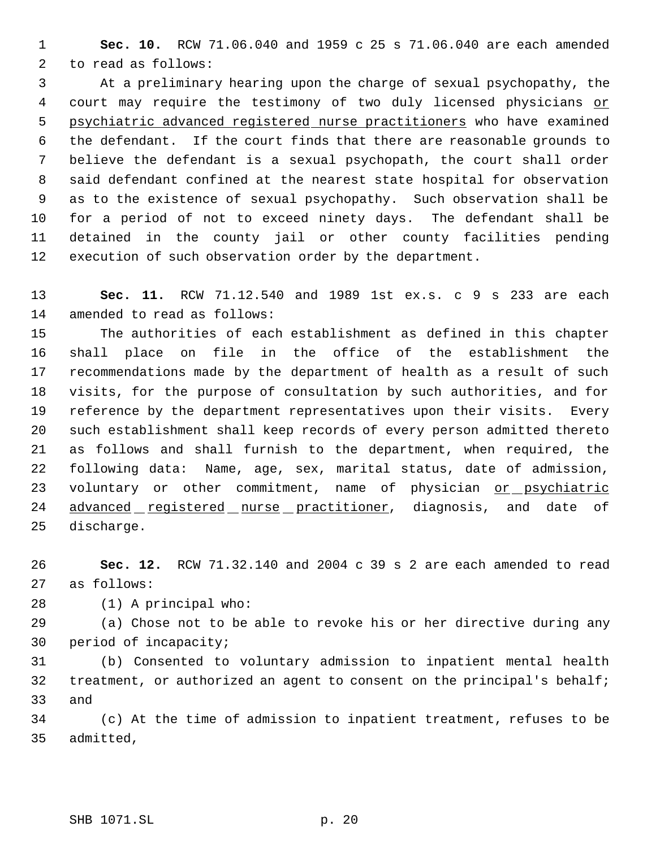**Sec. 10.** RCW 71.06.040 and 1959 c 25 s 71.06.040 are each amended to read as follows:

 At a preliminary hearing upon the charge of sexual psychopathy, the 4 court may require the testimony of two duly licensed physicians or psychiatric advanced registered nurse practitioners who have examined the defendant. If the court finds that there are reasonable grounds to believe the defendant is a sexual psychopath, the court shall order said defendant confined at the nearest state hospital for observation as to the existence of sexual psychopathy. Such observation shall be for a period of not to exceed ninety days. The defendant shall be detained in the county jail or other county facilities pending execution of such observation order by the department.

 **Sec. 11.** RCW 71.12.540 and 1989 1st ex.s. c 9 s 233 are each amended to read as follows:

 The authorities of each establishment as defined in this chapter shall place on file in the office of the establishment the recommendations made by the department of health as a result of such visits, for the purpose of consultation by such authorities, and for reference by the department representatives upon their visits. Every such establishment shall keep records of every person admitted thereto as follows and shall furnish to the department, when required, the following data: Name, age, sex, marital status, date of admission, 23 voluntary or other commitment, name of physician or psychiatric 24 advanced registered nurse practitioner, diagnosis, and date of discharge.

 **Sec. 12.** RCW 71.32.140 and 2004 c 39 s 2 are each amended to read as follows:

(1) A principal who:

 (a) Chose not to be able to revoke his or her directive during any period of incapacity;

 (b) Consented to voluntary admission to inpatient mental health 32 treatment, or authorized an agent to consent on the principal's behalf; and

 (c) At the time of admission to inpatient treatment, refuses to be admitted,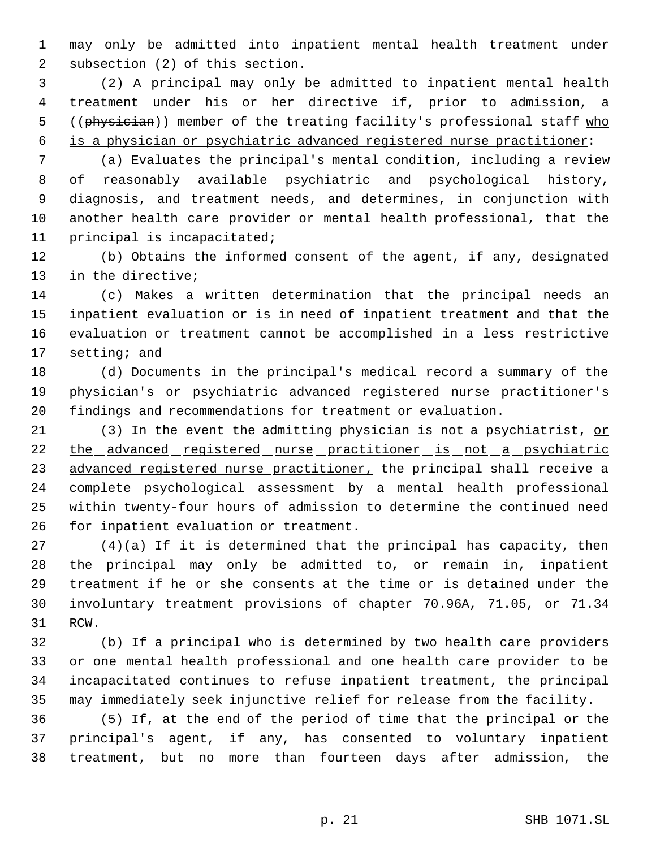may only be admitted into inpatient mental health treatment under subsection (2) of this section.

 (2) A principal may only be admitted to inpatient mental health treatment under his or her directive if, prior to admission, a 5 ((physician)) member of the treating facility's professional staff who is a physician or psychiatric advanced registered nurse practitioner:

 (a) Evaluates the principal's mental condition, including a review of reasonably available psychiatric and psychological history, diagnosis, and treatment needs, and determines, in conjunction with another health care provider or mental health professional, that the principal is incapacitated;

 (b) Obtains the informed consent of the agent, if any, designated in the directive;

 (c) Makes a written determination that the principal needs an inpatient evaluation or is in need of inpatient treatment and that the evaluation or treatment cannot be accomplished in a less restrictive setting; and

 (d) Documents in the principal's medical record a summary of the 19 physician's or psychiatric advanced registered nurse practitioner's findings and recommendations for treatment or evaluation.

21 (3) In the event the admitting physician is not a psychiatrist, or 22 the advanced registered nurse practitioner is not a psychiatric 23 advanced registered nurse practitioner, the principal shall receive a complete psychological assessment by a mental health professional within twenty-four hours of admission to determine the continued need for inpatient evaluation or treatment.

 (4)(a) If it is determined that the principal has capacity, then the principal may only be admitted to, or remain in, inpatient treatment if he or she consents at the time or is detained under the involuntary treatment provisions of chapter 70.96A, 71.05, or 71.34 RCW.

 (b) If a principal who is determined by two health care providers or one mental health professional and one health care provider to be incapacitated continues to refuse inpatient treatment, the principal may immediately seek injunctive relief for release from the facility.

 (5) If, at the end of the period of time that the principal or the principal's agent, if any, has consented to voluntary inpatient treatment, but no more than fourteen days after admission, the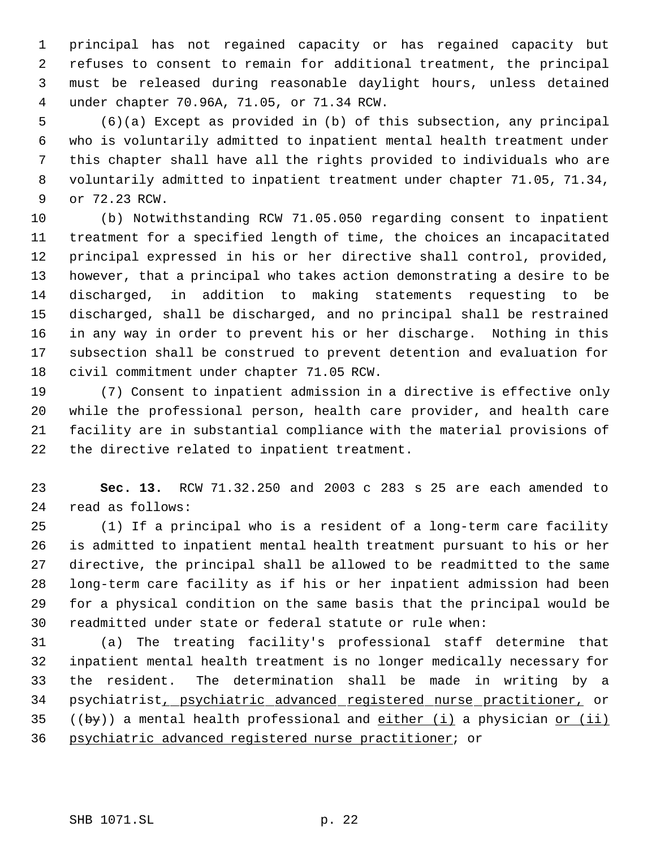principal has not regained capacity or has regained capacity but refuses to consent to remain for additional treatment, the principal must be released during reasonable daylight hours, unless detained under chapter 70.96A, 71.05, or 71.34 RCW.

 (6)(a) Except as provided in (b) of this subsection, any principal who is voluntarily admitted to inpatient mental health treatment under this chapter shall have all the rights provided to individuals who are voluntarily admitted to inpatient treatment under chapter 71.05, 71.34, or 72.23 RCW.

 (b) Notwithstanding RCW 71.05.050 regarding consent to inpatient treatment for a specified length of time, the choices an incapacitated principal expressed in his or her directive shall control, provided, however, that a principal who takes action demonstrating a desire to be discharged, in addition to making statements requesting to be discharged, shall be discharged, and no principal shall be restrained in any way in order to prevent his or her discharge. Nothing in this subsection shall be construed to prevent detention and evaluation for civil commitment under chapter 71.05 RCW.

 (7) Consent to inpatient admission in a directive is effective only while the professional person, health care provider, and health care facility are in substantial compliance with the material provisions of the directive related to inpatient treatment.

 **Sec. 13.** RCW 71.32.250 and 2003 c 283 s 25 are each amended to read as follows:

 (1) If a principal who is a resident of a long-term care facility is admitted to inpatient mental health treatment pursuant to his or her directive, the principal shall be allowed to be readmitted to the same long-term care facility as if his or her inpatient admission had been for a physical condition on the same basis that the principal would be readmitted under state or federal statute or rule when:

 (a) The treating facility's professional staff determine that inpatient mental health treatment is no longer medically necessary for the resident. The determination shall be made in writing by a psychiatrist, psychiatric advanced registered nurse practitioner, or ((by)) a mental health professional and either (i) a physician or (ii) psychiatric advanced registered nurse practitioner; or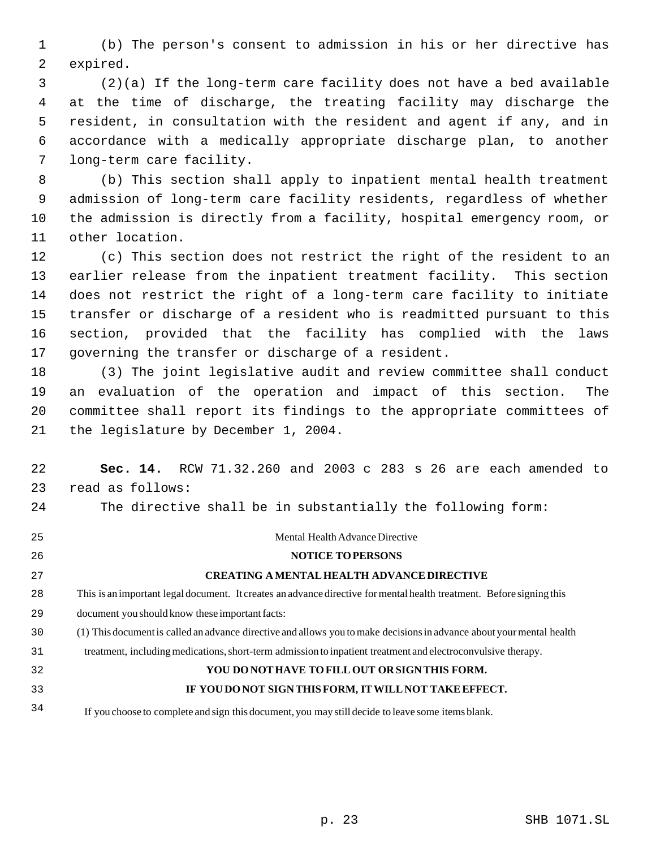(b) The person's consent to admission in his or her directive has expired.

 (2)(a) If the long-term care facility does not have a bed available at the time of discharge, the treating facility may discharge the resident, in consultation with the resident and agent if any, and in accordance with a medically appropriate discharge plan, to another long-term care facility.

 (b) This section shall apply to inpatient mental health treatment admission of long-term care facility residents, regardless of whether the admission is directly from a facility, hospital emergency room, or other location.

 (c) This section does not restrict the right of the resident to an earlier release from the inpatient treatment facility. This section does not restrict the right of a long-term care facility to initiate transfer or discharge of a resident who is readmitted pursuant to this section, provided that the facility has complied with the laws governing the transfer or discharge of a resident.

 (3) The joint legislative audit and review committee shall conduct an evaluation of the operation and impact of this section. The committee shall report its findings to the appropriate committees of the legislature by December 1, 2004.

 **Sec. 14.** RCW 71.32.260 and 2003 c 283 s 26 are each amended to read as follows:

 The directive shall be in substantially the following form: Mental Health Advance Directive **NOTICE TO PERSONS CREATING A MENTAL HEALTH ADVANCE DIRECTIVE** This is an important legal document. It creates an advance directive for mental health treatment. Before signing this document you should know these important facts: (1) This document is called an advance directive and allows you to make decisions in advance about your mental health treatment, including medications, short-term admission to inpatient treatment and electroconvulsive therapy.

# **YOU DO NOT HAVE TO FILL OUT OR SIGN THIS FORM.**

### **IF YOU DO NOT SIGN THIS FORM, IT WILL NOT TAKE EFFECT.**

If you choose to complete and sign this document, you may still decide to leave some items blank.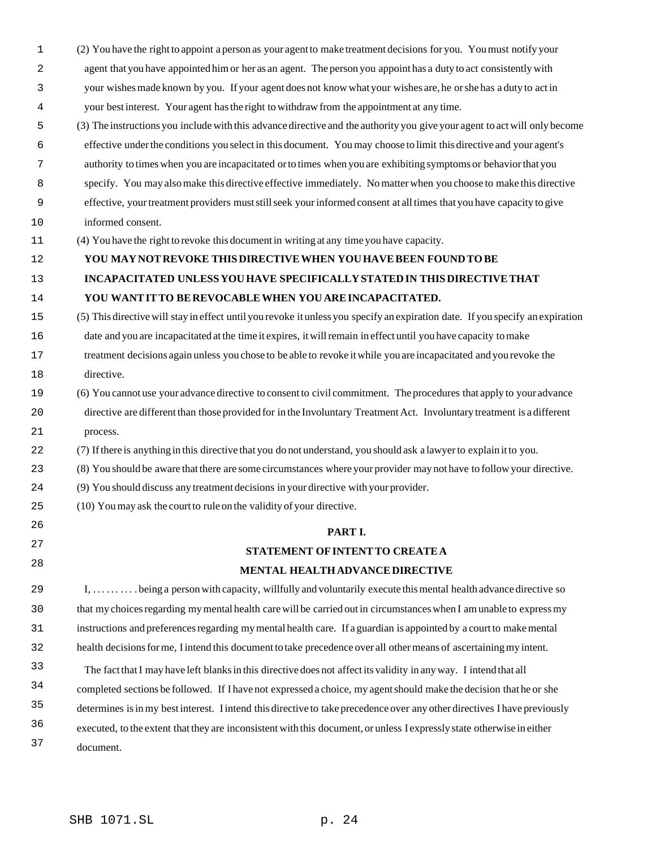| $\mathbf{1}$   | (2) You have the right to appoint a person as your agent to make treatment decisions for you. You must notify your             |
|----------------|--------------------------------------------------------------------------------------------------------------------------------|
| $\overline{c}$ | agent that you have appointed him or her as an agent. The person you appoint has a duty to act consistently with               |
| 3              | your wishes made known by you. If your agent does not know what your wishes are, he or she has a duty to act in                |
| 4              | your best interest. Your agent has the right to withdraw from the appointment at any time.                                     |
| 5              | (3) The instructions you include with this advance directive and the authority you give your agent to act will only become     |
| 6              | effective under the conditions you select in this document. You may choose to limit this directive and your agent's            |
| 7              | authority to times when you are incapacitated or to times when you are exhibiting symptoms or behavior that you                |
| 8              | specify. You may also make this directive effective immediately. No matter when you choose to make this directive              |
| 9              | effective, your treatment providers must still seek your informed consent at all times that you have capacity to give          |
| 10             | informed consent.                                                                                                              |
| 11             | (4) You have the right to revoke this document in writing at any time you have capacity.                                       |
| 12             | YOU MAY NOT REVOKE THIS DIRECTIVE WHEN YOU HAVE BEEN FOUND TO BE                                                               |
| 13             | INCAPACITATED UNLESS YOU HAVE SPECIFICALLY STATED IN THIS DIRECTIVE THAT                                                       |
| 14             | YOU WANT IT TO BE REVOCABLE WHEN YOU ARE INCAPACITATED.                                                                        |
| 15             | (5) This directive will stay in effect until you revoke it unless you specify an expiration date. If you specify an expiration |
| 16             | date and you are incapacitated at the time it expires, it will remain in effect until you have capacity to make                |
| 17             | treatment decisions again unless you chose to be able to revoke it while you are incapacitated and you revoke the              |
| 18             | directive.                                                                                                                     |
| 19             | (6) You cannot use your advance directive to consent to civil commitment. The procedures that apply to your advance            |
| 20             | directive are different than those provided for in the Involuntary Treatment Act. Involuntary treatment is a different         |
| 21             | process.                                                                                                                       |
| 22             | (7) If there is anything in this directive that you do not understand, you should ask a lawyer to explain it to you.           |
| 23             | (8) You should be aware that there are some circumstances where your provider may not have to follow your directive.           |
| 24             | (9) You should discuss any treatment decisions in your directive with your provider.                                           |
| 25             | (10) You may ask the court to rule on the validity of your directive.                                                          |
| 26             | PART I.                                                                                                                        |
| 27             | STATEMENT OF INTENT TO CREATE A                                                                                                |
| 28             | MENTAL HEALTH ADVANCE DIRECTIVE                                                                                                |
| 29             | I,  being a person with capacity, willfully and voluntarily execute this mental health advance directive so                    |
| 30             | that my choices regarding my mental health care will be carried out in circumstances when I am unable to express my            |
| 31             | instructions and preferences regarding my mental health care. If a guardian is appointed by a court to make mental             |
| 32             | health decisions for me, I intend this document to take precedence over all other means of ascertaining my intent.             |
| 33             | The fact that I may have left blanks in this directive does not affect its validity in any way. I intend that all              |
| 34             | completed sections be followed. If I have not expressed a choice, my agent should make the decision that he or she             |
| 35             | determines is in my best interest. I intend this directive to take precedence over any other directives I have previously      |
| 36             |                                                                                                                                |
| 37             | executed, to the extent that they are inconsistent with this document, or unless I expressly state otherwise in either         |
|                | document.                                                                                                                      |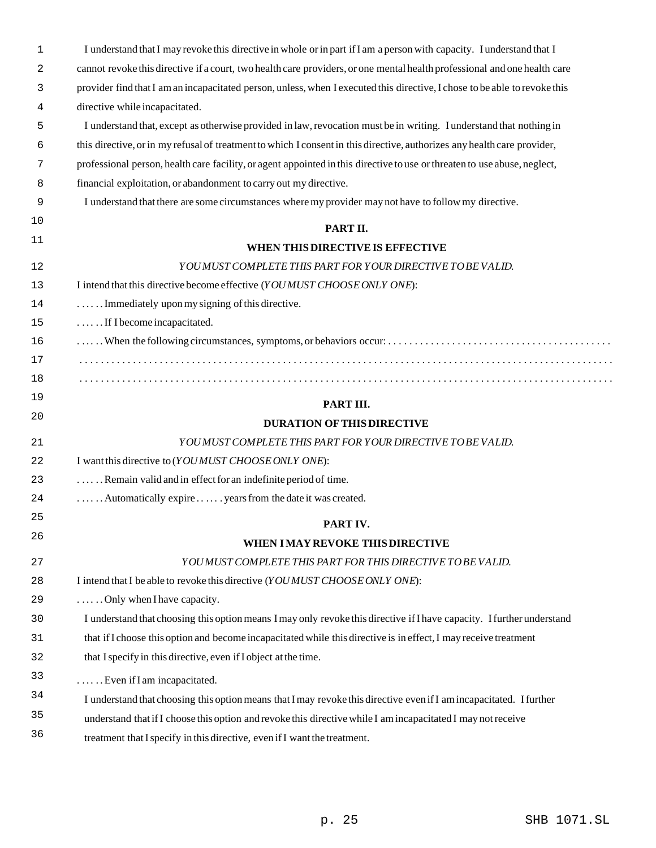| 1  | I understand that I may revoke this directive in whole or in part if I am a person with capacity. I understand that I      |
|----|----------------------------------------------------------------------------------------------------------------------------|
| 2  | cannot revoke this directive if a court, two health care providers, or one mental health professional and one health care  |
| 3  | provider find that I am an incapacitated person, unless, when I executed this directive, I chose to be able to revoke this |
| 4  | directive while incapacitated.                                                                                             |
| 5  | I understand that, except as otherwise provided in law, revocation must be in writing. I understand that nothing in        |
| 6  | this directive, or in my refusal of treatment to which I consent in this directive, authorizes any health care provider,   |
| 7  | professional person, health care facility, or agent appointed in this directive to use or threaten to use abuse, neglect,  |
| 8  | financial exploitation, or abandonment to carry out my directive.                                                          |
| 9  | I understand that there are some circumstances where my provider may not have to follow my directive.                      |
| 10 | PART II.                                                                                                                   |
| 11 | WHEN THIS DIRECTIVE IS EFFECTIVE                                                                                           |
| 12 | YOU MUST COMPLETE THIS PART FOR YOUR DIRECTIVE TO BE VALID.                                                                |
| 13 | I intend that this directive become effective (YOUMUST CHOOSE ONLY ONE):                                                   |
| 14 | Immediately upon my signing of this directive.                                                                             |
| 15 | If I become incapacitated.                                                                                                 |
| 16 |                                                                                                                            |
| 17 |                                                                                                                            |
| 18 |                                                                                                                            |
| 19 | PART III.                                                                                                                  |
| 20 | <b>DURATION OF THIS DIRECTIVE</b>                                                                                          |
| 21 | YOU MUST COMPLETE THIS PART FOR YOUR DIRECTIVE TO BE VALID.                                                                |
| 22 | I want this directive to (YOU MUST CHOOSE ONLY ONE):                                                                       |
| 23 | Remain valid and in effect for an indefinite period of time.                                                               |
| 24 | Automatically expire years from the date it was created.                                                                   |
| 25 | <b>PART IV.</b>                                                                                                            |
| 26 | WHEN I MAY REVOKE THIS DIRECTIVE                                                                                           |
| 27 | YOU MUST COMPLETE THIS PART FOR THIS DIRECTIVE TO BE VALID.                                                                |
| 28 | I intend that I be able to revoke this directive (YOUMUST CHOOSE ONLY ONE):                                                |
| 29 | Only when I have capacity.                                                                                                 |
| 30 | I understand that choosing this option means I may only revoke this directive if I have capacity. I further understand     |
| 31 | that if I choose this option and become incapacitated while this directive is in effect, I may receive treatment           |
| 32 | that I specify in this directive, even if I object at the time.                                                            |
| 33 | Even if I am incapacitated.                                                                                                |
| 34 | I understand that choosing this option means that I may revoke this directive even if I am incapacitated. I further        |
| 35 | understand that if I choose this option and revoke this directive while I am incapacitated I may not receive               |
| 36 | treatment that I specify in this directive, even if I want the treatment.                                                  |
|    |                                                                                                                            |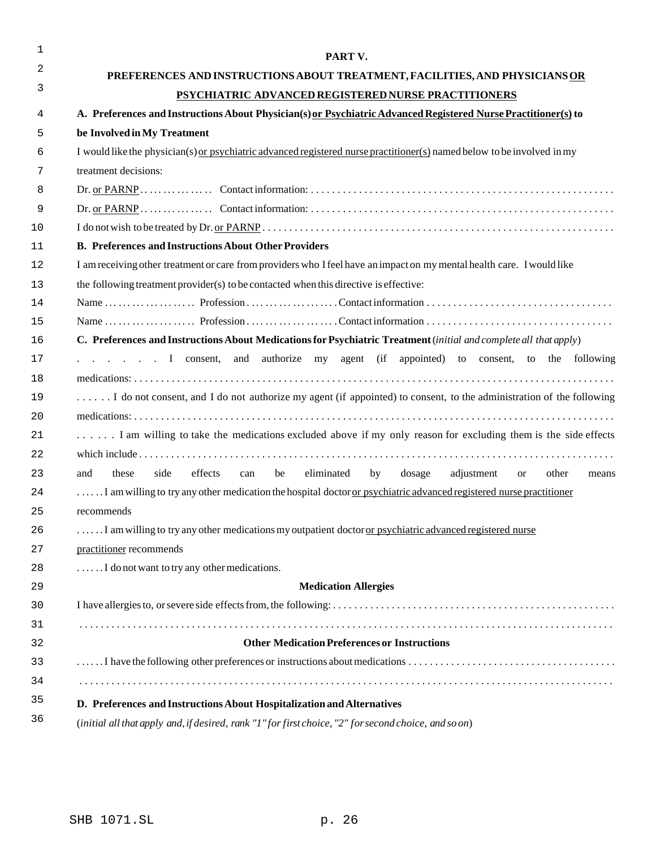| 1  | PART V.                                                                                                                 |
|----|-------------------------------------------------------------------------------------------------------------------------|
| 2  | PREFERENCES AND INSTRUCTIONS ABOUT TREATMENT, FACILITIES, AND PHYSICIANS OR                                             |
| 3  | PSYCHIATRIC ADVANCED REGISTERED NURSE PRACTITIONERS                                                                     |
| 4  | A. Preferences and Instructions About Physician(s) or Psychiatric Advanced Registered Nurse Practitioner(s) to          |
| 5  | be Involved in My Treatment                                                                                             |
| 6  | I would like the physician(s) or psychiatric advanced registered nurse practitioner(s) named below to be involved in my |
| 7  | treatment decisions:                                                                                                    |
| 8  |                                                                                                                         |
| 9  |                                                                                                                         |
| 10 |                                                                                                                         |
| 11 | <b>B. Preferences and Instructions About Other Providers</b>                                                            |
| 12 | I am receiving other treatment or care from providers who I feel have an impact on my mental health care. I would like  |
| 13 | the following treatment provider(s) to be contacted when this directive is effective:                                   |
| 14 |                                                                                                                         |
| 15 |                                                                                                                         |
| 16 | C. Preferences and Instructions About Medications for Psychiatric Treatment (initial and complete all that apply)       |
| 17 | . I consent, and authorize my agent (if appointed) to consent, to the following                                         |
| 18 |                                                                                                                         |
| 19 | I do not consent, and I do not authorize my agent (if appointed) to consent, to the administration of the following     |
| 20 |                                                                                                                         |
| 21 | I am willing to take the medications excluded above if my only reason for excluding them is the side effects            |
| 22 |                                                                                                                         |
| 23 | and<br>effects<br>eliminated<br>adjustment<br>these<br>side<br>be<br>by<br>dosage<br>other<br>can<br>or<br>means        |
| 24 | I am willing to try any other medication the hospital doctor or psychiatric advanced registered nurse practitioner      |
| 25 | recommends                                                                                                              |
| 26 | I am willing to try any other medications my outpatient doctor or psychiatric advanced registered nurse                 |
| 27 | practitioner recommends                                                                                                 |
| 28 | I do not want to try any other medications.                                                                             |
| 29 | <b>Medication Allergies</b>                                                                                             |
| 30 |                                                                                                                         |
| 31 |                                                                                                                         |
| 32 | <b>Other Medication Preferences or Instructions</b>                                                                     |
| 33 |                                                                                                                         |
| 34 |                                                                                                                         |
| 35 | D. Preferences and Instructions About Hospitalization and Alternatives                                                  |
| 36 | (initial all that apply and, if desired, rank "1" for first choice, "2" for second choice, and so on)                   |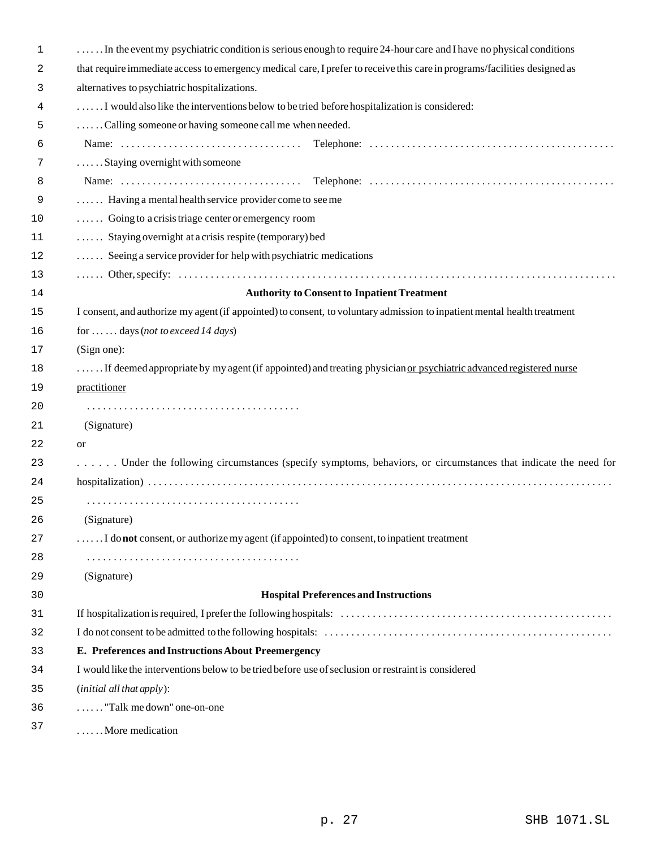| $\mathbf 1$ | In the event my psychiatric condition is serious enough to require 24-hour care and I have no physical conditions         |
|-------------|---------------------------------------------------------------------------------------------------------------------------|
| 2           | that require immediate access to emergency medical care, I prefer to receive this care in programs/facilities designed as |
| 3           | alternatives to psychiatric hospitalizations.                                                                             |
| 4           | I would also like the interventions below to be tried before hospitalization is considered:                               |
| 5           | Calling someone or having someone call me when needed.                                                                    |
| 6           |                                                                                                                           |
| 7           | Staying overnight with someone                                                                                            |
| 8           |                                                                                                                           |
| 9           | Having a mental health service provider come to see me                                                                    |
| 10          | Going to a crisis triage center or emergency room                                                                         |
| 11          | Staying overnight at a crisis respite (temporary) bed                                                                     |
| 12          | Seeing a service provider for help with psychiatric medications                                                           |
| 13          |                                                                                                                           |
| 14          | <b>Authority to Consent to Inpatient Treatment</b>                                                                        |
| 15          | I consent, and authorize my agent (if appointed) to consent, to voluntary admission to inpatient mental health treatment  |
| 16          | for   days (not to exceed 14 days)                                                                                        |
| 17          | (Sign one):                                                                                                               |
| 18          | If deemed appropriate by my agent (if appointed) and treating physician or psychiatric advanced registered nurse          |
| 19          | practitioner                                                                                                              |
| 20          |                                                                                                                           |
| 21          | (Signature)                                                                                                               |
| 22          | <b>or</b>                                                                                                                 |
| 23          | Under the following circumstances (specify symptoms, behaviors, or circumstances that indicate the need for               |
| 24          |                                                                                                                           |
| 25          |                                                                                                                           |
| 26          | (Signature)                                                                                                               |
| 27          | I donot consent, or authorize my agent (if appointed) to consent, to inpatient treatment                                  |
| 28          |                                                                                                                           |
| 29          | (Signature)                                                                                                               |
| 30          | <b>Hospital Preferences and Instructions</b>                                                                              |
| 31          |                                                                                                                           |
| 32          |                                                                                                                           |
| 33          | E. Preferences and Instructions About Preemergency                                                                        |
| 34          | I would like the interventions below to be tried before use of seclusion or restraint is considered                       |
| 35          | (initial all that apply):                                                                                                 |
| 36          | "Talk me down" one-on-one                                                                                                 |
| 37          | More medication                                                                                                           |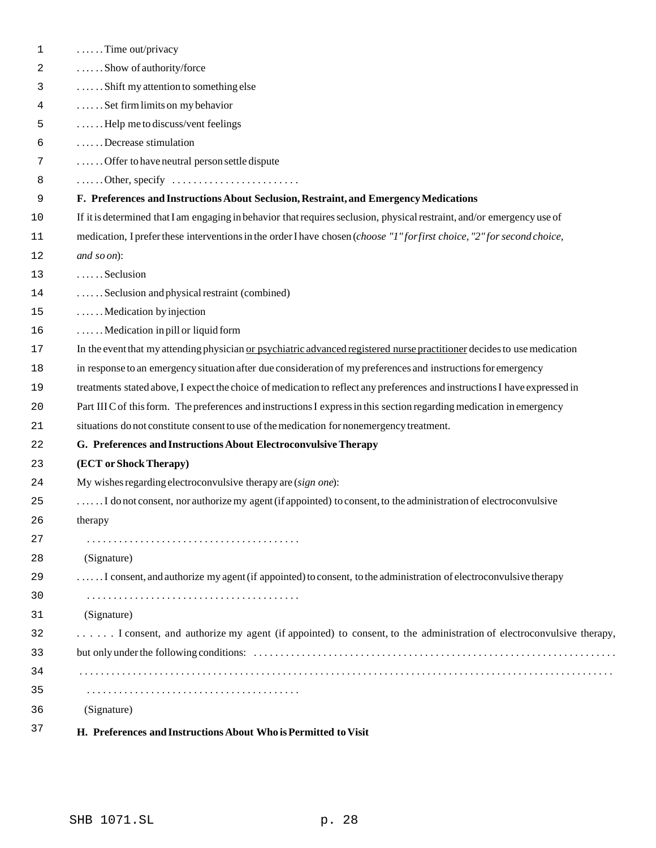| 1  | Time out/privacy                                                                                                           |
|----|----------------------------------------------------------------------------------------------------------------------------|
| 2  | Show of authority/force                                                                                                    |
| 3  | Shift my attention to something else                                                                                       |
| 4  | Set firm limits on my behavior                                                                                             |
| 5  | Help me to discuss/vent feelings                                                                                           |
| 6  | Decrease stimulation                                                                                                       |
| 7  | Offer to have neutral person settle dispute                                                                                |
| 8  |                                                                                                                            |
| 9  | F. Preferences and Instructions About Seclusion, Restraint, and Emergency Medications                                      |
| 10 | If it is determined that I am engaging in behavior that requires seclusion, physical restraint, and/or emergency use of    |
| 11 | medication, I prefer these interventions in the order I have chosen (choose "1" for first choice, "2" for second choice,   |
| 12 | and so on):                                                                                                                |
| 13 | $\ldots$ . Seclusion                                                                                                       |
| 14 | Seclusion and physical restraint (combined)                                                                                |
| 15 | Medication by injection                                                                                                    |
| 16 | Medication in pill or liquid form                                                                                          |
| 17 | In the event that my attending physician or psychiatric advanced registered nurse practitioner decides to use medication   |
| 18 | in response to an emergency situation after due consideration of my preferences and instructions for emergency             |
| 19 | treatments stated above, I expect the choice of medication to reflect any preferences and instructions I have expressed in |
| 20 | Part III C of this form. The preferences and instructions I express in this section regarding medication in emergency      |
| 21 | situations do not constitute consent to use of the medication for nonemergency treatment.                                  |
| 22 | G. Preferences and Instructions About Electroconvulsive Therapy                                                            |
| 23 | (ECT or Shock Therapy)                                                                                                     |
| 24 | My wishes regarding electroconvulsive therapy are (sign one):                                                              |
| 25 | I do not consent, nor authorize my agent (if appointed) to consent, to the administration of electroconvulsive             |
| 26 | therapy                                                                                                                    |
| 27 |                                                                                                                            |
| 28 | (Signature)                                                                                                                |
| 29 | I consent, and authorize my agent (if appointed) to consent, to the administration of electroconvulsive therapy            |
| 30 |                                                                                                                            |
| 31 | (Signature)                                                                                                                |
| 32 | I consent, and authorize my agent (if appointed) to consent, to the administration of electroconvulsive therapy,           |
| 33 |                                                                                                                            |
| 34 |                                                                                                                            |
| 35 |                                                                                                                            |
| 36 | (Signature)                                                                                                                |
| 37 | H. Preferences and Instructions About Who is Permitted to Visit                                                            |

SHB 1071.SL p. 28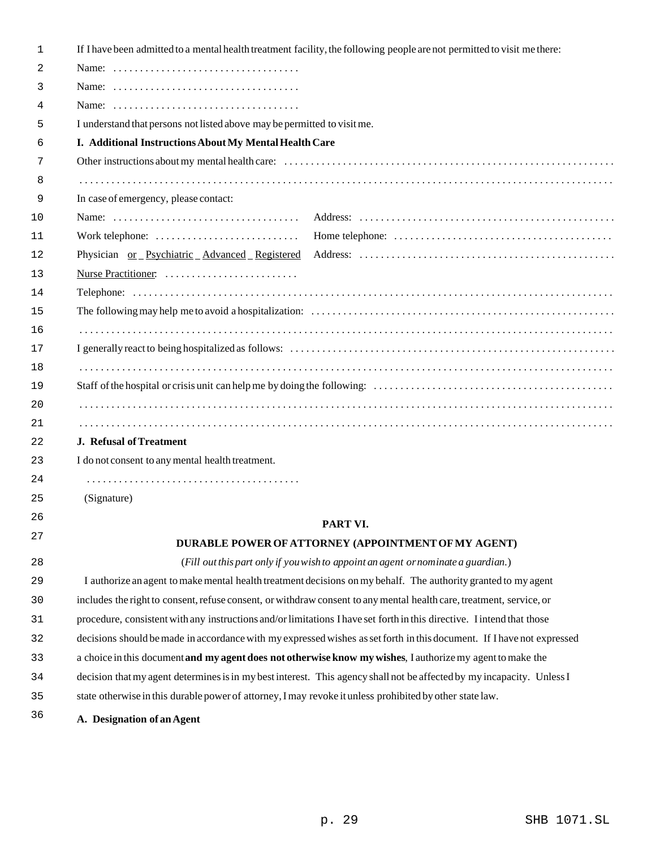| 1  | If I have been admitted to a mental health treatment facility, the following people are not permitted to visit me there: |
|----|--------------------------------------------------------------------------------------------------------------------------|
| 2  |                                                                                                                          |
| 3  |                                                                                                                          |
| 4  |                                                                                                                          |
| 5  | I understand that persons not listed above may be permitted to visit me.                                                 |
| 6  | I. Additional Instructions About My Mental Health Care                                                                   |
| 7  |                                                                                                                          |
| 8  |                                                                                                                          |
| 9  | In case of emergency, please contact:                                                                                    |
| 10 |                                                                                                                          |
| 11 | Work telephone:                                                                                                          |
| 12 | Physician <u>or Psychiatric Advanced Registered</u>                                                                      |
| 13 |                                                                                                                          |
| 14 |                                                                                                                          |
| 15 |                                                                                                                          |
| 16 |                                                                                                                          |
| 17 |                                                                                                                          |
| 18 |                                                                                                                          |
| 19 |                                                                                                                          |
| 20 |                                                                                                                          |
| 21 |                                                                                                                          |
| 22 | <b>J. Refusal of Treatment</b>                                                                                           |
| 23 | I do not consent to any mental health treatment.                                                                         |
| 24 |                                                                                                                          |
| 25 | (Signature)                                                                                                              |
| 26 | PART VI.                                                                                                                 |
| 27 | DURABLE POWER OF ATTORNEY (APPOINTMENT OF MY AGENT)                                                                      |
| 28 | (Fill out this part only if you wish to appoint an agent or nominate a guardian.)                                        |
| 29 | I authorize an agent to make mental health treatment decisions on my behalf. The authority granted to my agent           |
| 30 | includes the right to consent, refuse consent, or withdraw consent to any mental health care, treatment, service, or     |
| 31 | procedure, consistent with any instructions and/or limitations I have set forth in this directive. I intend that those   |
| 32 | decisions should be made in accordance with my expressed wishes as set forth in this document. If I have not expressed   |
| 33 | a choice in this document and my agent does not otherwise know my wishes, I authorize my agent to make the               |
| 34 | decision that my agent determines is in my best interest. This agency shall not be affected by my incapacity. Unless I   |
| 35 | state otherwise in this durable power of attorney, I may revoke it unless prohibited by other state law.                 |
| 36 |                                                                                                                          |
|    | A. Designation of an Agent                                                                                               |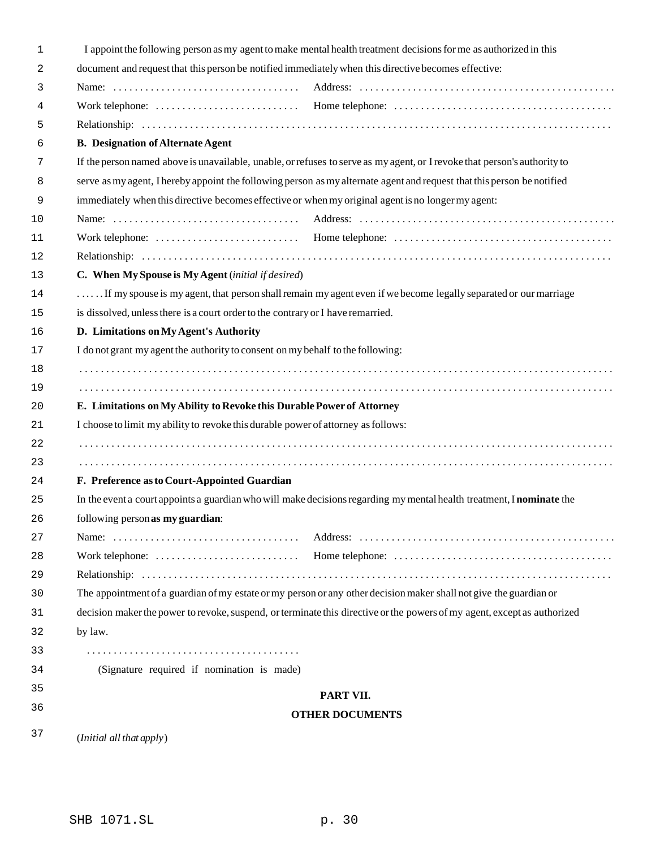| $\mathbf 1$ | I appoint the following person as my agent to make mental health treatment decisions for me as authorized in this         |
|-------------|---------------------------------------------------------------------------------------------------------------------------|
| 2           | document and request that this person be notified immediately when this directive becomes effective:                      |
| 3           |                                                                                                                           |
| 4           |                                                                                                                           |
| 5           |                                                                                                                           |
| 6           | <b>B.</b> Designation of Alternate Agent                                                                                  |
| 7           | If the person named above is unavailable, unable, or refuses to serve as my agent, or I revoke that person's authority to |
| 8           | serve as my agent, I hereby appoint the following person as my alternate agent and request that this person be notified   |
| 9           | immediately when this directive becomes effective or when my original agent is no longer my agent:                        |
| 10          | Name: $\dots\dots\dots\dots\dots\dots\dots\dots\dots\dots\dots\dots\dots\dots$                                            |
| 11          |                                                                                                                           |
| 12          |                                                                                                                           |
| 13          | C. When My Spouse is My Agent (initial if desired)                                                                        |
| 14          | If my spouse is my agent, that person shall remain my agent even if we become legally separated or our marriage           |
| 15          | is dissolved, unless there is a court order to the contrary or I have remarried.                                          |
| 16          | D. Limitations on My Agent's Authority                                                                                    |
| 17          | I do not grant my agent the authority to consent on my behalf to the following:                                           |
| 18          |                                                                                                                           |
| 19          |                                                                                                                           |
| 20          | E. Limitations on My Ability to Revoke this Durable Power of Attorney                                                     |
| 21          | I choose to limit my ability to revoke this durable power of attorney as follows:                                         |
| 22          |                                                                                                                           |
| 23          |                                                                                                                           |
| 24          | F. Preference as to Court-Appointed Guardian                                                                              |
| 25          | In the event a court appoints a guardian who will make decisions regarding my mental health treatment, I nominate the     |
| 26          | following person as my guardian:                                                                                          |
| 27          | Name: $\ldots \ldots \ldots \ldots \ldots \ldots \ldots \ldots \ldots \ldots \ldots$                                      |
| 28          |                                                                                                                           |
| 29          |                                                                                                                           |
| 30          | The appointment of a guardian of my estate or my person or any other decision maker shall not give the guardian or        |
| 31          | decision maker the power to revoke, suspend, or terminate this directive or the powers of my agent, except as authorized  |
| 32          | by law.                                                                                                                   |
| 33          |                                                                                                                           |
| 34          | (Signature required if nomination is made)                                                                                |
| 35          | PART VII.                                                                                                                 |
| 36          | <b>OTHER DOCUMENTS</b>                                                                                                    |
| 37          |                                                                                                                           |
|             | (Initial all that apply)                                                                                                  |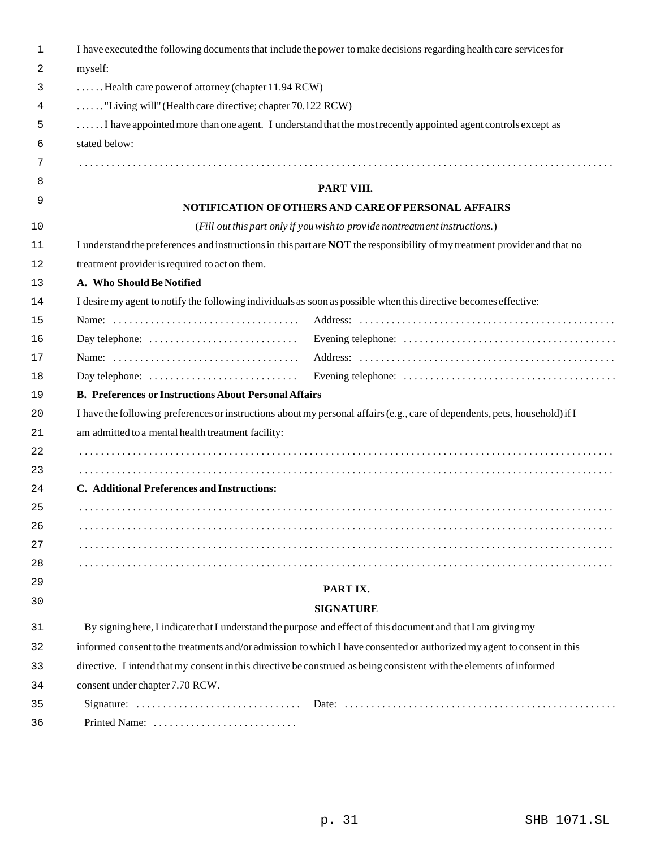| $\mathbf{1}$ | I have executed the following documents that include the power to make decisions regarding health care services for               |
|--------------|-----------------------------------------------------------------------------------------------------------------------------------|
| 2            | myself:                                                                                                                           |
| 3            | Health care power of attorney (chapter 11.94 RCW)                                                                                 |
| 4            | "Living will" (Health care directive; chapter 70.122 RCW)                                                                         |
| 5            | I have appointed more than one agent. I understand that the most recently appointed agent controls except as                      |
| 6            | stated below:                                                                                                                     |
| 7            |                                                                                                                                   |
| 8            | PART VIII.                                                                                                                        |
| 9            | NOTIFICATION OF OTHERS AND CARE OF PERSONAL AFFAIRS                                                                               |
| 10           | (Fill out this part only if you wish to provide nontreatment instructions.)                                                       |
| 11           | I understand the preferences and instructions in this part are <b>NOT</b> the responsibility of my treatment provider and that no |
| 12           | treatment provider is required to act on them.                                                                                    |
| 13           | A. Who Should Be Notified                                                                                                         |
| 14           | I desire my agent to notify the following individuals as soon as possible when this directive becomes effective:                  |
| 15           |                                                                                                                                   |
| 16           | Day telephone: $\dots\dots\dots\dots\dots\dots\dots\dots\dots\dots$                                                               |
| 17           | Name:                                                                                                                             |
| 18           |                                                                                                                                   |
| 19           | <b>B. Preferences or Instructions About Personal Affairs</b>                                                                      |
| 20           | I have the following preferences or instructions about my personal affairs (e.g., care of dependents, pets, household) if I       |
| 21           | am admitted to a mental health treatment facility:                                                                                |
| 22           |                                                                                                                                   |
| 23           |                                                                                                                                   |
| 24           | C. Additional Preferences and Instructions:                                                                                       |
| 25           |                                                                                                                                   |
| 26           |                                                                                                                                   |
| 27           |                                                                                                                                   |
| 28           |                                                                                                                                   |
| 29           | PART IX.                                                                                                                          |
| 30           | <b>SIGNATURE</b>                                                                                                                  |
| 31           | By signing here, I indicate that I understand the purpose and effect of this document and that I am giving my                     |
| 32           | informed consent to the treatments and/or admission to which I have consented or authorized my agent to consent in this           |
| 33           | directive. I intend that my consent in this directive be construed as being consistent with the elements of informed              |
| 34           | consent under chapter 7.70 RCW.                                                                                                   |
| 35           |                                                                                                                                   |
| 36           | Printed Name:                                                                                                                     |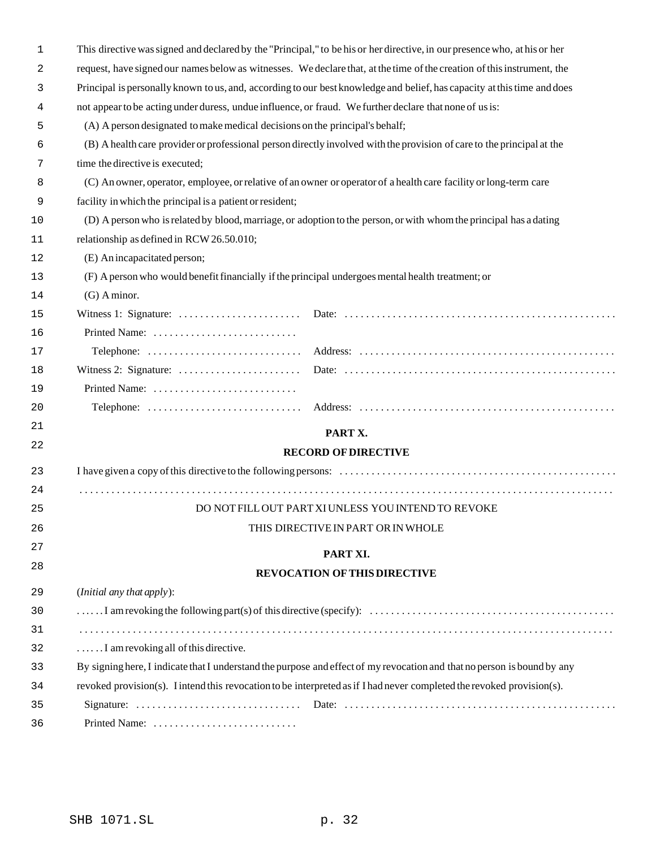| 1  | This directive was signed and declared by the "Principal," to be his or her directive, in our presence who, at his or her |
|----|---------------------------------------------------------------------------------------------------------------------------|
| 2  | request, have signed our names below as witnesses. We declare that, at the time of the creation of this instrument, the   |
| 3  | Principal is personally known to us, and, according to our best knowledge and belief, has capacity at this time and does  |
| 4  | not appear to be acting under duress, undue influence, or fraud. We further declare that none of us is:                   |
| 5  | (A) A person designated to make medical decisions on the principal's behalf;                                              |
| 6  | (B) A health care provider or professional person directly involved with the provision of care to the principal at the    |
| 7  | time the directive is executed;                                                                                           |
| 8  | (C) An owner, operator, employee, or relative of an owner or operator of a health care facility or long-term care         |
| 9  | facility in which the principal is a patient or resident;                                                                 |
| 10 | (D) A person who is related by blood, marriage, or adoption to the person, or with whom the principal has a dating        |
| 11 | relationship as defined in RCW 26.50.010;                                                                                 |
| 12 | (E) An incapacitated person;                                                                                              |
| 13 | (F) A person who would benefit financially if the principal undergoes mental health treatment; or                         |
| 14 | $(G)$ A minor.                                                                                                            |
| 15 | Witness 1: Signature:                                                                                                     |
| 16 | Printed Name:                                                                                                             |
| 17 | Telephone:                                                                                                                |
| 18 |                                                                                                                           |
| 19 | Printed Name:                                                                                                             |
| 20 | Telephone:                                                                                                                |
| 21 | PART X.                                                                                                                   |
| 22 | <b>RECORD OF DIRECTIVE</b>                                                                                                |
| 23 |                                                                                                                           |
| 24 |                                                                                                                           |
| 25 | DO NOT FILL OUT PART XI UNLESS YOU INTEND TO REVOKE                                                                       |
| 26 | THIS DIRECTIVE IN PART OR IN WHOLE                                                                                        |
| 27 | PART XI.                                                                                                                  |
| 28 | <b>REVOCATION OF THIS DIRECTIVE</b>                                                                                       |
| 29 | (Initial any that apply):                                                                                                 |
| 30 |                                                                                                                           |
| 31 |                                                                                                                           |
| 32 | I am revoking all of this directive.                                                                                      |
| 33 | By signing here, I indicate that I understand the purpose and effect of my revocation and that no person is bound by any  |
| 34 | revoked provision(s). I intend this revocation to be interpreted as if I had never completed the revoked provision(s).    |
| 35 |                                                                                                                           |
| 36 | Printed Name:                                                                                                             |
|    |                                                                                                                           |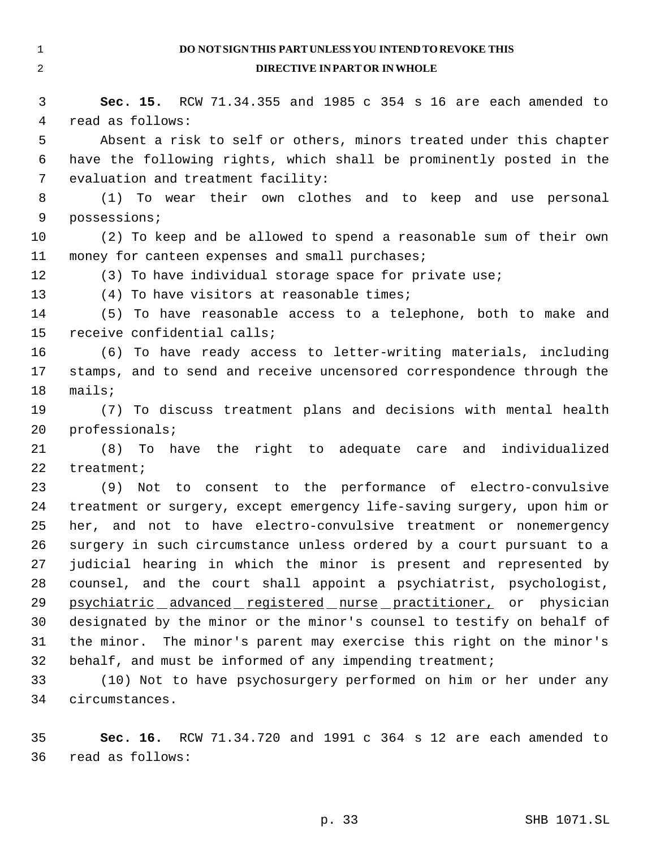# **DO NOT SIGN THIS PART UNLESS YOU INTEND TO REVOKE THIS DIRECTIVE IN PART OR IN WHOLE**

 **Sec. 15.** RCW 71.34.355 and 1985 c 354 s 16 are each amended to read as follows: Absent a risk to self or others, minors treated under this chapter have the following rights, which shall be prominently posted in the evaluation and treatment facility: (1) To wear their own clothes and to keep and use personal possessions; (2) To keep and be allowed to spend a reasonable sum of their own 11 money for canteen expenses and small purchases; 12 (3) To have individual storage space for private use; (4) To have visitors at reasonable times; (5) To have reasonable access to a telephone, both to make and receive confidential calls; (6) To have ready access to letter-writing materials, including stamps, and to send and receive uncensored correspondence through the mails; (7) To discuss treatment plans and decisions with mental health professionals; (8) To have the right to adequate care and individualized treatment; (9) Not to consent to the performance of electro-convulsive treatment or surgery, except emergency life-saving surgery, upon him or her, and not to have electro-convulsive treatment or nonemergency surgery in such circumstance unless ordered by a court pursuant to a judicial hearing in which the minor is present and represented by counsel, and the court shall appoint a psychiatrist, psychologist, psychiatric advanced registered nurse practitioner, or physician designated by the minor or the minor's counsel to testify on behalf of the minor. The minor's parent may exercise this right on the minor's behalf, and must be informed of any impending treatment; (10) Not to have psychosurgery performed on him or her under any circumstances.

 **Sec. 16.** RCW 71.34.720 and 1991 c 364 s 12 are each amended to read as follows: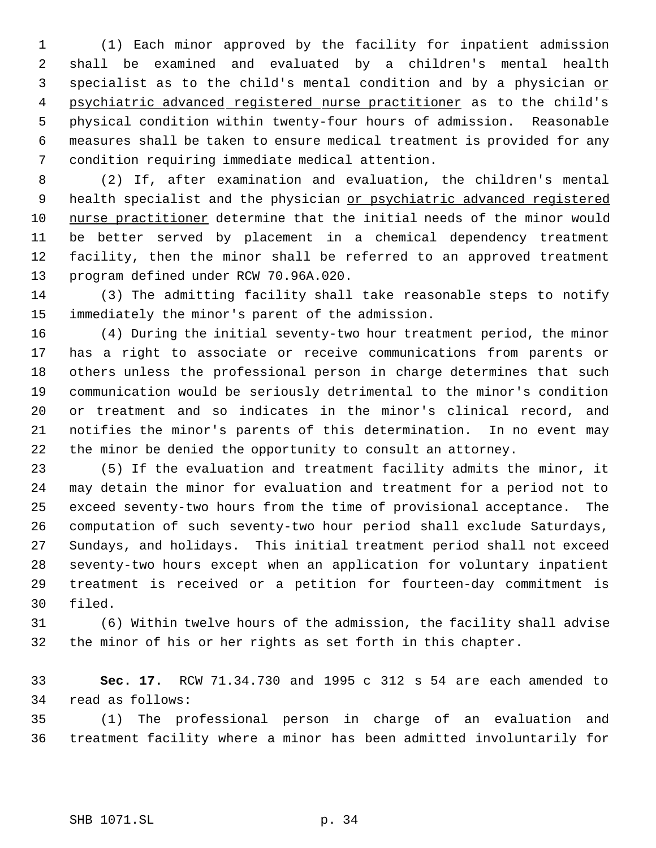(1) Each minor approved by the facility for inpatient admission shall be examined and evaluated by a children's mental health 3 specialist as to the child's mental condition and by a physician or 4 psychiatric advanced registered nurse practitioner as to the child's physical condition within twenty-four hours of admission. Reasonable measures shall be taken to ensure medical treatment is provided for any condition requiring immediate medical attention.

 (2) If, after examination and evaluation, the children's mental 9 health specialist and the physician or psychiatric advanced registered nurse practitioner determine that the initial needs of the minor would be better served by placement in a chemical dependency treatment facility, then the minor shall be referred to an approved treatment program defined under RCW 70.96A.020.

 (3) The admitting facility shall take reasonable steps to notify immediately the minor's parent of the admission.

 (4) During the initial seventy-two hour treatment period, the minor has a right to associate or receive communications from parents or others unless the professional person in charge determines that such communication would be seriously detrimental to the minor's condition or treatment and so indicates in the minor's clinical record, and notifies the minor's parents of this determination. In no event may the minor be denied the opportunity to consult an attorney.

 (5) If the evaluation and treatment facility admits the minor, it may detain the minor for evaluation and treatment for a period not to exceed seventy-two hours from the time of provisional acceptance. The computation of such seventy-two hour period shall exclude Saturdays, Sundays, and holidays. This initial treatment period shall not exceed seventy-two hours except when an application for voluntary inpatient treatment is received or a petition for fourteen-day commitment is filed.

 (6) Within twelve hours of the admission, the facility shall advise the minor of his or her rights as set forth in this chapter.

 **Sec. 17.** RCW 71.34.730 and 1995 c 312 s 54 are each amended to read as follows:

 (1) The professional person in charge of an evaluation and treatment facility where a minor has been admitted involuntarily for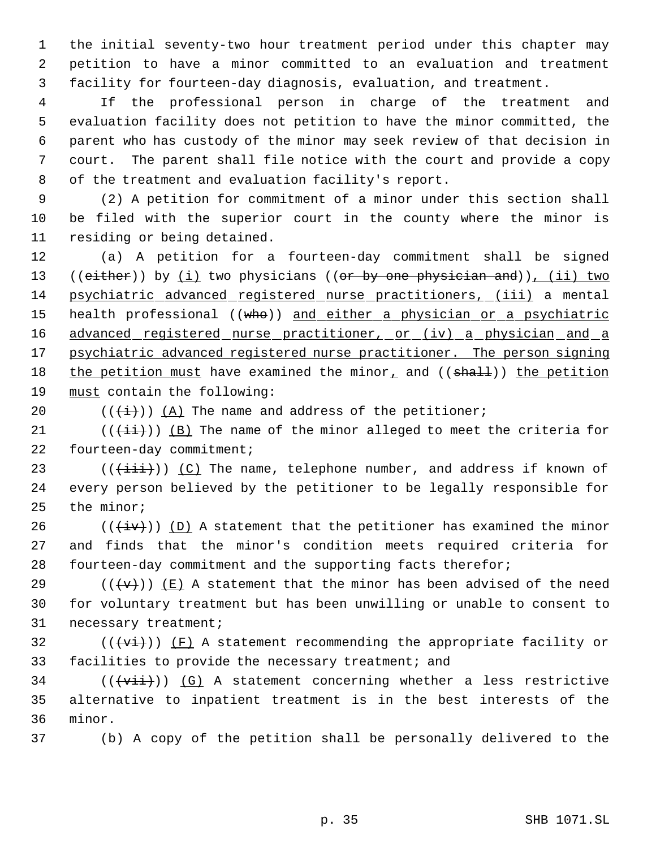the initial seventy-two hour treatment period under this chapter may petition to have a minor committed to an evaluation and treatment facility for fourteen-day diagnosis, evaluation, and treatment.

 If the professional person in charge of the treatment and evaluation facility does not petition to have the minor committed, the parent who has custody of the minor may seek review of that decision in court. The parent shall file notice with the court and provide a copy of the treatment and evaluation facility's report.

 (2) A petition for commitment of a minor under this section shall be filed with the superior court in the county where the minor is residing or being detained.

 (a) A petition for a fourteen-day commitment shall be signed 13 ((either)) by (i) two physicians ((or by one physician and)), (ii) two psychiatric advanced registered nurse practitioners, (iii) a mental 15 health professional ((who)) and either a physician or a psychiatric 16 advanced registered nurse practitioner, or (iv) a physician and a psychiatric advanced registered nurse practitioner. The person signing 18 the petition must have examined the minor, and ((shall)) the petition must contain the following:

20  $((\overleftrightarrow{\textbf{i}}))$   $(\overrightarrow{A})$  The name and address of the petitioner;

21 ( $(\frac{1+i}{1})$ ) (B) The name of the minor alleged to meet the criteria for fourteen-day commitment;

23 ( $(\{\pm i\}$ )) (C) The name, telephone number, and address if known of every person believed by the petitioner to be legally responsible for the minor;

26 ( $(\overleftrightarrow{\text{iv}})$ ) (D) A statement that the petitioner has examined the minor and finds that the minor's condition meets required criteria for fourteen-day commitment and the supporting facts therefor;

29 ( $(\{\text{v}\})$ ) <u>(E)</u> A statement that the minor has been advised of the need for voluntary treatment but has been unwilling or unable to consent to necessary treatment;

32  $((\overrightarrow{v_i}))$  (F) A statement recommending the appropriate facility or facilities to provide the necessary treatment; and

 (( $\overline{(+\text{v}\text{t}\text{i})}$ )) (G) A statement concerning whether a less restrictive alternative to inpatient treatment is in the best interests of the minor.

(b) A copy of the petition shall be personally delivered to the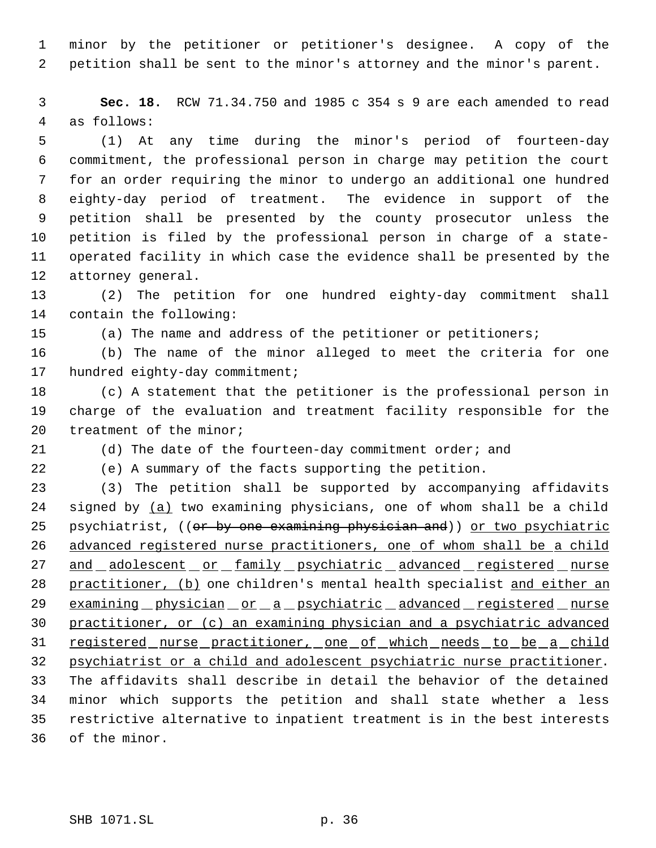minor by the petitioner or petitioner's designee. A copy of the petition shall be sent to the minor's attorney and the minor's parent.

 **Sec. 18.** RCW 71.34.750 and 1985 c 354 s 9 are each amended to read as follows:

 (1) At any time during the minor's period of fourteen-day commitment, the professional person in charge may petition the court for an order requiring the minor to undergo an additional one hundred eighty-day period of treatment. The evidence in support of the petition shall be presented by the county prosecutor unless the petition is filed by the professional person in charge of a state- operated facility in which case the evidence shall be presented by the attorney general.

 (2) The petition for one hundred eighty-day commitment shall contain the following:

(a) The name and address of the petitioner or petitioners;

 (b) The name of the minor alleged to meet the criteria for one hundred eighty-day commitment;

 (c) A statement that the petitioner is the professional person in charge of the evaluation and treatment facility responsible for the 20 treatment of the minor;

(d) The date of the fourteen-day commitment order; and

(e) A summary of the facts supporting the petition.

 (3) The petition shall be supported by accompanying affidavits signed by (a) two examining physicians, one of whom shall be a child 25 psychiatrist, ((or by one examining physician and)) or two psychiatric advanced registered nurse practitioners, one of whom shall be a child 27 and adolescent or family psychiatric advanced registered nurse practitioner, (b) one children's mental health specialist and either an 29 examining physician or a psychiatric advanced registered nurse practitioner, or (c) an examining physician and a psychiatric advanced 31 registered nurse practitioner, one of which needs to be a child psychiatrist or a child and adolescent psychiatric nurse practitioner. The affidavits shall describe in detail the behavior of the detained minor which supports the petition and shall state whether a less restrictive alternative to inpatient treatment is in the best interests of the minor.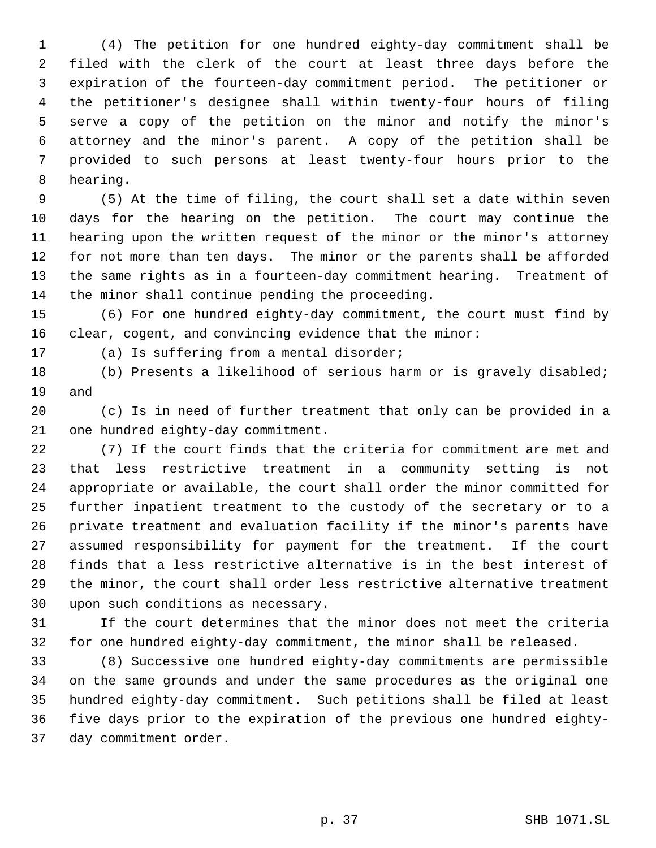(4) The petition for one hundred eighty-day commitment shall be filed with the clerk of the court at least three days before the expiration of the fourteen-day commitment period. The petitioner or the petitioner's designee shall within twenty-four hours of filing serve a copy of the petition on the minor and notify the minor's attorney and the minor's parent. A copy of the petition shall be provided to such persons at least twenty-four hours prior to the hearing.

 (5) At the time of filing, the court shall set a date within seven days for the hearing on the petition. The court may continue the hearing upon the written request of the minor or the minor's attorney for not more than ten days. The minor or the parents shall be afforded the same rights as in a fourteen-day commitment hearing. Treatment of the minor shall continue pending the proceeding.

 (6) For one hundred eighty-day commitment, the court must find by clear, cogent, and convincing evidence that the minor:

(a) Is suffering from a mental disorder;

 (b) Presents a likelihood of serious harm or is gravely disabled; and

 (c) Is in need of further treatment that only can be provided in a one hundred eighty-day commitment.

 (7) If the court finds that the criteria for commitment are met and that less restrictive treatment in a community setting is not appropriate or available, the court shall order the minor committed for further inpatient treatment to the custody of the secretary or to a private treatment and evaluation facility if the minor's parents have assumed responsibility for payment for the treatment. If the court finds that a less restrictive alternative is in the best interest of the minor, the court shall order less restrictive alternative treatment upon such conditions as necessary.

 If the court determines that the minor does not meet the criteria for one hundred eighty-day commitment, the minor shall be released.

 (8) Successive one hundred eighty-day commitments are permissible on the same grounds and under the same procedures as the original one hundred eighty-day commitment. Such petitions shall be filed at least five days prior to the expiration of the previous one hundred eighty-day commitment order.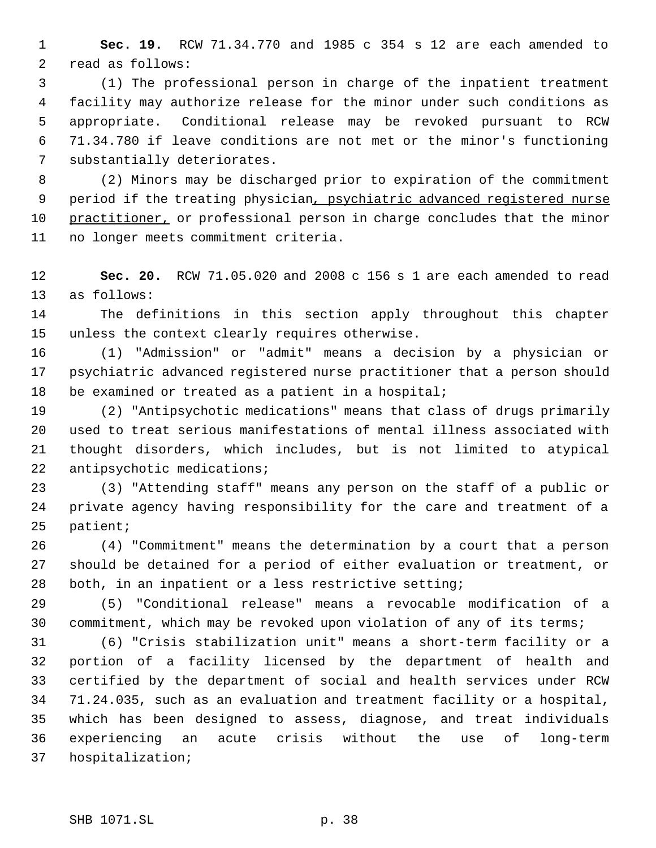**Sec. 19.** RCW 71.34.770 and 1985 c 354 s 12 are each amended to read as follows:

 (1) The professional person in charge of the inpatient treatment facility may authorize release for the minor under such conditions as appropriate. Conditional release may be revoked pursuant to RCW 71.34.780 if leave conditions are not met or the minor's functioning substantially deteriorates.

 (2) Minors may be discharged prior to expiration of the commitment 9 period if the treating physician, psychiatric advanced registered nurse 10 practitioner, or professional person in charge concludes that the minor no longer meets commitment criteria.

 **Sec. 20.** RCW 71.05.020 and 2008 c 156 s 1 are each amended to read as follows:

 The definitions in this section apply throughout this chapter unless the context clearly requires otherwise.

 (1) "Admission" or "admit" means a decision by a physician or psychiatric advanced registered nurse practitioner that a person should be examined or treated as a patient in a hospital;

 (2) "Antipsychotic medications" means that class of drugs primarily used to treat serious manifestations of mental illness associated with thought disorders, which includes, but is not limited to atypical 22 antipsychotic medications;

 (3) "Attending staff" means any person on the staff of a public or private agency having responsibility for the care and treatment of a patient;

 (4) "Commitment" means the determination by a court that a person should be detained for a period of either evaluation or treatment, or both, in an inpatient or a less restrictive setting;

 (5) "Conditional release" means a revocable modification of a commitment, which may be revoked upon violation of any of its terms;

 (6) "Crisis stabilization unit" means a short-term facility or a portion of a facility licensed by the department of health and certified by the department of social and health services under RCW 71.24.035, such as an evaluation and treatment facility or a hospital, which has been designed to assess, diagnose, and treat individuals experiencing an acute crisis without the use of long-term hospitalization;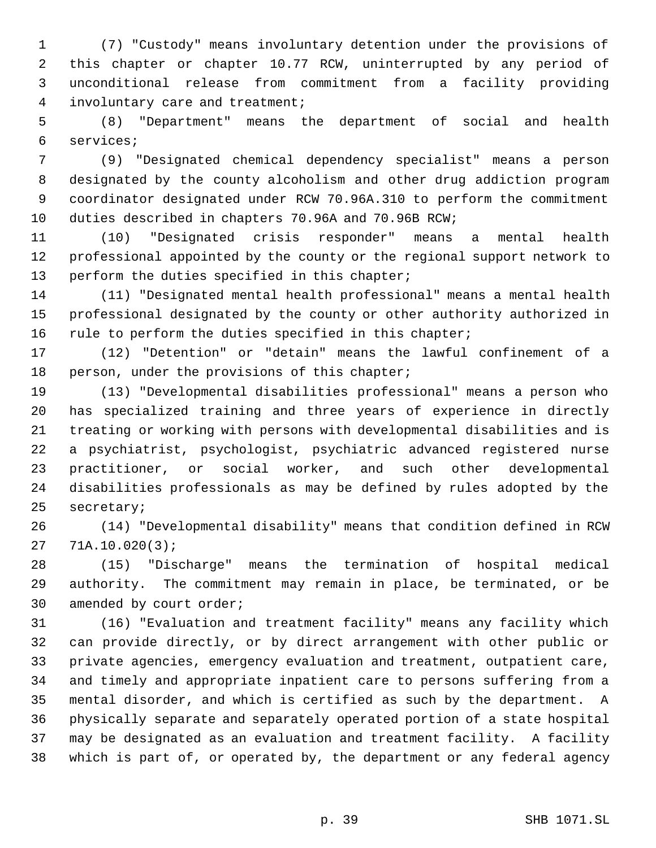(7) "Custody" means involuntary detention under the provisions of this chapter or chapter 10.77 RCW, uninterrupted by any period of unconditional release from commitment from a facility providing involuntary care and treatment;

 (8) "Department" means the department of social and health services;

 (9) "Designated chemical dependency specialist" means a person designated by the county alcoholism and other drug addiction program coordinator designated under RCW 70.96A.310 to perform the commitment duties described in chapters 70.96A and 70.96B RCW;

 (10) "Designated crisis responder" means a mental health professional appointed by the county or the regional support network to 13 perform the duties specified in this chapter;

 (11) "Designated mental health professional" means a mental health professional designated by the county or other authority authorized in 16 rule to perform the duties specified in this chapter;

 (12) "Detention" or "detain" means the lawful confinement of a 18 person, under the provisions of this chapter;

 (13) "Developmental disabilities professional" means a person who has specialized training and three years of experience in directly treating or working with persons with developmental disabilities and is a psychiatrist, psychologist, psychiatric advanced registered nurse practitioner, or social worker, and such other developmental disabilities professionals as may be defined by rules adopted by the secretary;

 (14) "Developmental disability" means that condition defined in RCW 71A.10.020(3);

 (15) "Discharge" means the termination of hospital medical authority. The commitment may remain in place, be terminated, or be amended by court order;

 (16) "Evaluation and treatment facility" means any facility which can provide directly, or by direct arrangement with other public or private agencies, emergency evaluation and treatment, outpatient care, and timely and appropriate inpatient care to persons suffering from a mental disorder, and which is certified as such by the department. A physically separate and separately operated portion of a state hospital may be designated as an evaluation and treatment facility. A facility which is part of, or operated by, the department or any federal agency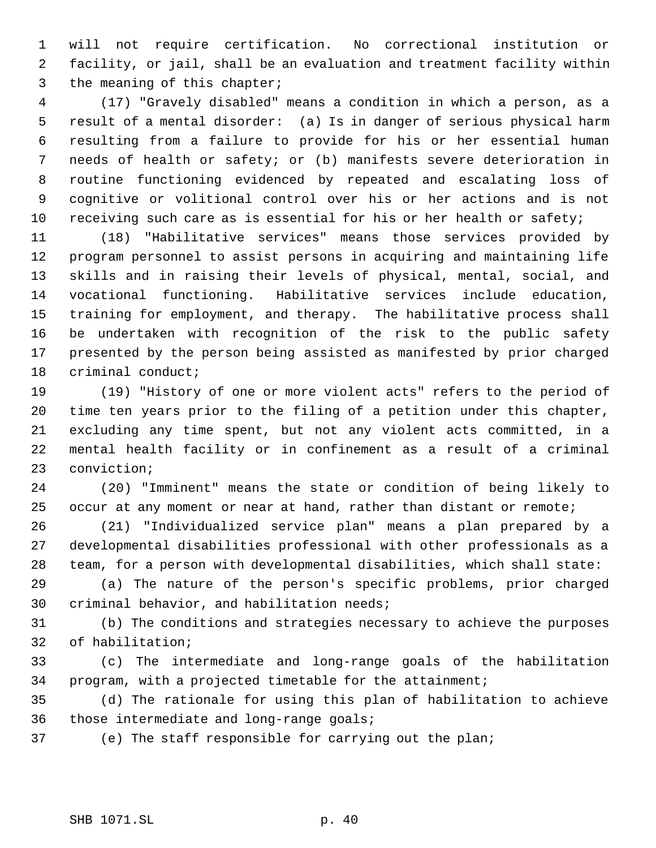will not require certification. No correctional institution or facility, or jail, shall be an evaluation and treatment facility within the meaning of this chapter;

 (17) "Gravely disabled" means a condition in which a person, as a result of a mental disorder: (a) Is in danger of serious physical harm resulting from a failure to provide for his or her essential human needs of health or safety; or (b) manifests severe deterioration in routine functioning evidenced by repeated and escalating loss of cognitive or volitional control over his or her actions and is not receiving such care as is essential for his or her health or safety;

 (18) "Habilitative services" means those services provided by program personnel to assist persons in acquiring and maintaining life skills and in raising their levels of physical, mental, social, and vocational functioning. Habilitative services include education, training for employment, and therapy. The habilitative process shall be undertaken with recognition of the risk to the public safety presented by the person being assisted as manifested by prior charged criminal conduct;

 (19) "History of one or more violent acts" refers to the period of time ten years prior to the filing of a petition under this chapter, excluding any time spent, but not any violent acts committed, in a mental health facility or in confinement as a result of a criminal conviction;

 (20) "Imminent" means the state or condition of being likely to occur at any moment or near at hand, rather than distant or remote;

 (21) "Individualized service plan" means a plan prepared by a developmental disabilities professional with other professionals as a team, for a person with developmental disabilities, which shall state:

 (a) The nature of the person's specific problems, prior charged criminal behavior, and habilitation needs;

 (b) The conditions and strategies necessary to achieve the purposes of habilitation;

 (c) The intermediate and long-range goals of the habilitation program, with a projected timetable for the attainment;

 (d) The rationale for using this plan of habilitation to achieve those intermediate and long-range goals;

(e) The staff responsible for carrying out the plan;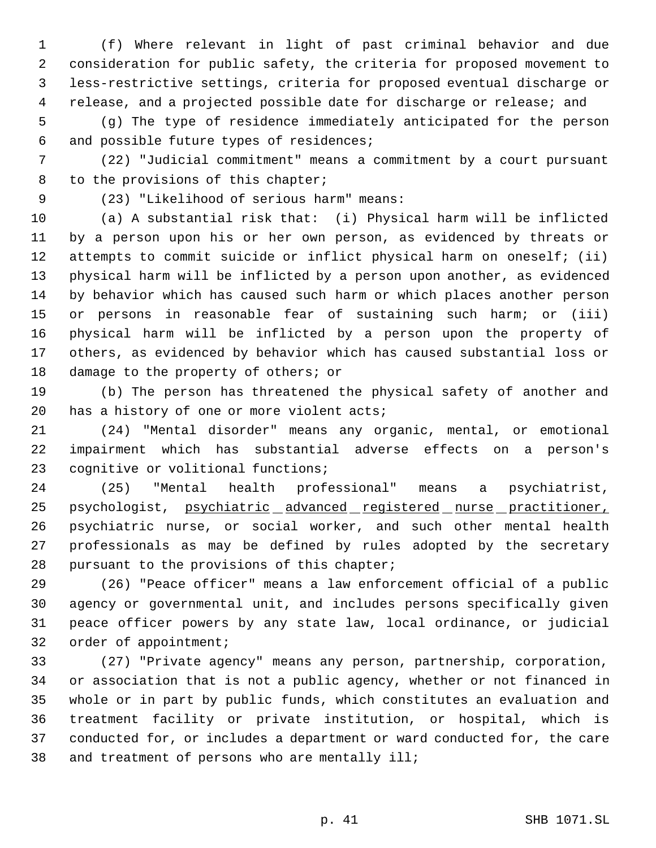(f) Where relevant in light of past criminal behavior and due consideration for public safety, the criteria for proposed movement to less-restrictive settings, criteria for proposed eventual discharge or release, and a projected possible date for discharge or release; and

 (g) The type of residence immediately anticipated for the person and possible future types of residences;

 (22) "Judicial commitment" means a commitment by a court pursuant 8 to the provisions of this chapter;

(23) "Likelihood of serious harm" means:

 (a) A substantial risk that: (i) Physical harm will be inflicted by a person upon his or her own person, as evidenced by threats or attempts to commit suicide or inflict physical harm on oneself; (ii) physical harm will be inflicted by a person upon another, as evidenced by behavior which has caused such harm or which places another person or persons in reasonable fear of sustaining such harm; or (iii) physical harm will be inflicted by a person upon the property of others, as evidenced by behavior which has caused substantial loss or 18 damage to the property of others; or

 (b) The person has threatened the physical safety of another and 20 has a history of one or more violent acts;

 (24) "Mental disorder" means any organic, mental, or emotional impairment which has substantial adverse effects on a person's 23 cognitive or volitional functions;

 (25) "Mental health professional" means a psychiatrist, 25 psychologist, psychiatric advanced registered nurse practitioner, psychiatric nurse, or social worker, and such other mental health professionals as may be defined by rules adopted by the secretary pursuant to the provisions of this chapter;

 (26) "Peace officer" means a law enforcement official of a public agency or governmental unit, and includes persons specifically given peace officer powers by any state law, local ordinance, or judicial order of appointment;

 (27) "Private agency" means any person, partnership, corporation, or association that is not a public agency, whether or not financed in whole or in part by public funds, which constitutes an evaluation and treatment facility or private institution, or hospital, which is conducted for, or includes a department or ward conducted for, the care 38 and treatment of persons who are mentally ill;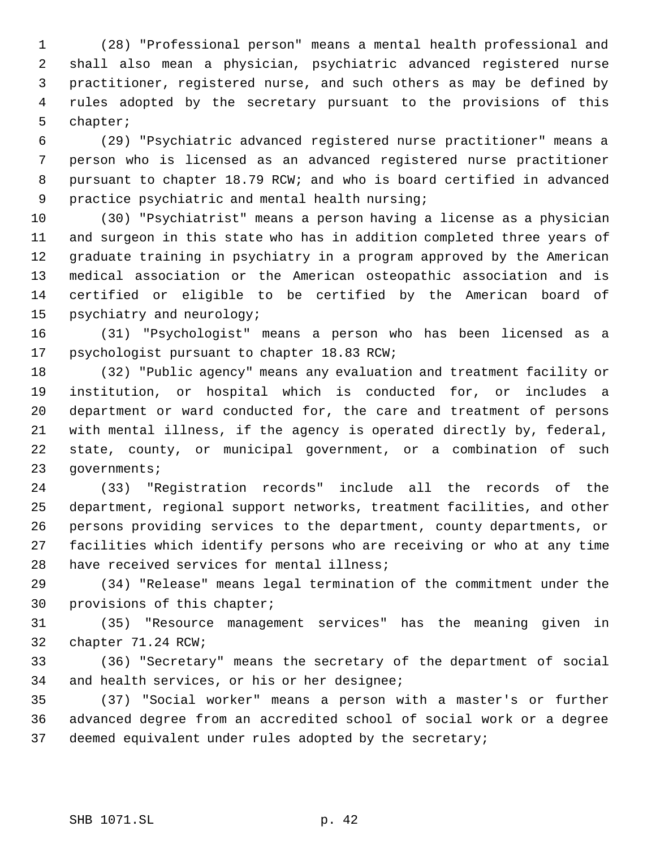(28) "Professional person" means a mental health professional and shall also mean a physician, psychiatric advanced registered nurse practitioner, registered nurse, and such others as may be defined by rules adopted by the secretary pursuant to the provisions of this chapter;

 (29) "Psychiatric advanced registered nurse practitioner" means a person who is licensed as an advanced registered nurse practitioner pursuant to chapter 18.79 RCW; and who is board certified in advanced practice psychiatric and mental health nursing;

 (30) "Psychiatrist" means a person having a license as a physician and surgeon in this state who has in addition completed three years of graduate training in psychiatry in a program approved by the American medical association or the American osteopathic association and is certified or eligible to be certified by the American board of psychiatry and neurology;

 (31) "Psychologist" means a person who has been licensed as a psychologist pursuant to chapter 18.83 RCW;

 (32) "Public agency" means any evaluation and treatment facility or institution, or hospital which is conducted for, or includes a department or ward conducted for, the care and treatment of persons with mental illness, if the agency is operated directly by, federal, state, county, or municipal government, or a combination of such governments;

 (33) "Registration records" include all the records of the department, regional support networks, treatment facilities, and other persons providing services to the department, county departments, or facilities which identify persons who are receiving or who at any time have received services for mental illness;

 (34) "Release" means legal termination of the commitment under the provisions of this chapter;

 (35) "Resource management services" has the meaning given in chapter 71.24 RCW;

 (36) "Secretary" means the secretary of the department of social and health services, or his or her designee;

 (37) "Social worker" means a person with a master's or further advanced degree from an accredited school of social work or a degree deemed equivalent under rules adopted by the secretary;